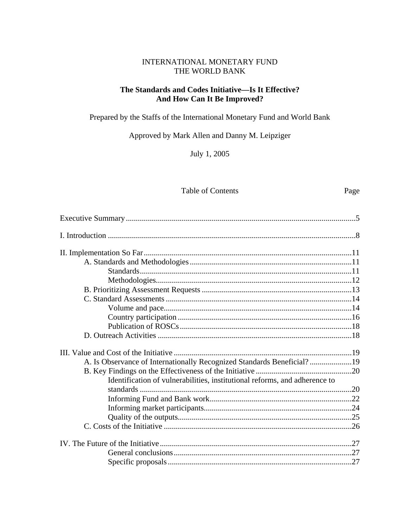## INTERNATIONAL MONETARY FUND THE WORLD BANK

# The Standards and Codes Initiative—Is It Effective? And How Can It Be Improved?

Prepared by the Staffs of the International Monetary Fund and World Bank

Approved by Mark Allen and Danny M. Leipziger

July 1, 2005

#### Table of Contents

Page

| A. Is Observance of Internationally Recognized Standards Beneficial?19     |  |
|----------------------------------------------------------------------------|--|
|                                                                            |  |
| Identification of vulnerabilities, institutional reforms, and adherence to |  |
|                                                                            |  |
|                                                                            |  |
|                                                                            |  |
|                                                                            |  |
|                                                                            |  |
|                                                                            |  |
|                                                                            |  |
|                                                                            |  |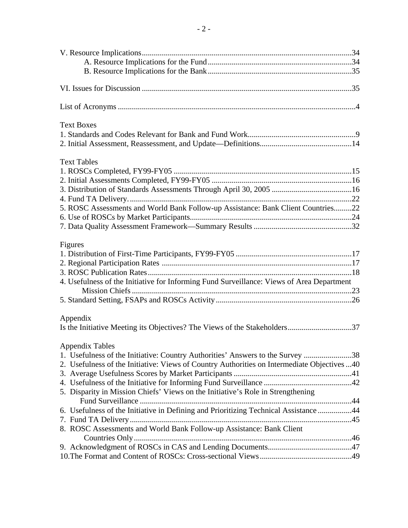| <b>Text Boxes</b>                                                                           |  |
|---------------------------------------------------------------------------------------------|--|
|                                                                                             |  |
|                                                                                             |  |
| <b>Text Tables</b>                                                                          |  |
|                                                                                             |  |
|                                                                                             |  |
|                                                                                             |  |
|                                                                                             |  |
| 5. ROSC Assessments and World Bank Follow-up Assistance: Bank Client Countries22            |  |
|                                                                                             |  |
|                                                                                             |  |
|                                                                                             |  |
| Figures                                                                                     |  |
|                                                                                             |  |
|                                                                                             |  |
|                                                                                             |  |
| 4. Usefulness of the Initiative for Informing Fund Surveillance: Views of Area Department   |  |
|                                                                                             |  |
|                                                                                             |  |
| Appendix                                                                                    |  |
|                                                                                             |  |
| <b>Appendix Tables</b>                                                                      |  |
| 1. Usefulness of the Initiative: Country Authorities' Answers to the Survey 38              |  |
| 2. Usefulness of the Initiative: Views of Country Authorities on Intermediate Objectives 40 |  |
|                                                                                             |  |
|                                                                                             |  |
| 5. Disparity in Mission Chiefs' Views on the Initiative's Role in Strengthening             |  |
|                                                                                             |  |
| 6. Usefulness of the Initiative in Defining and Prioritizing Technical Assistance 44        |  |
|                                                                                             |  |
| 8. ROSC Assessments and World Bank Follow-up Assistance: Bank Client                        |  |
|                                                                                             |  |
|                                                                                             |  |
|                                                                                             |  |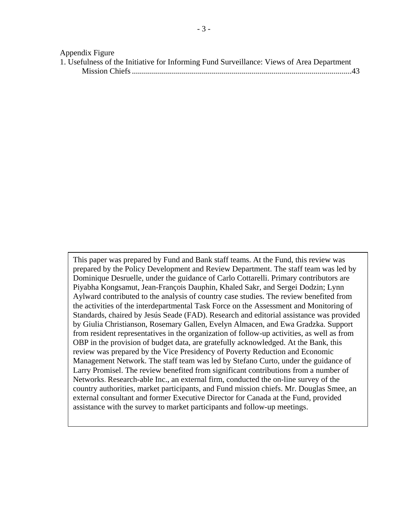#### Appendix Figure

|  |  |  | 1. Usefulness of the Initiative for Informing Fund Surveillance: Views of Area Department |  |
|--|--|--|-------------------------------------------------------------------------------------------|--|
|  |  |  |                                                                                           |  |

This paper was prepared by Fund and Bank staff teams. At the Fund, this review was prepared by the Policy Development and Review Department. The staff team was led by Dominique Desruelle, under the guidance of Carlo Cottarelli. Primary contributors are Piyabha Kongsamut, Jean-François Dauphin, Khaled Sakr, and Sergei Dodzin; Lynn Aylward contributed to the analysis of country case studies. The review benefited from the activities of the interdepartmental Task Force on the Assessment and Monitoring of Standards, chaired by Jesús Seade (FAD). Research and editorial assistance was provided by Giulia Christianson, Rosemary Gallen, Evelyn Almacen, and Ewa Gradzka. Support from resident representatives in the organization of follow-up activities, as well as from OBP in the provision of budget data, are gratefully acknowledged. At the Bank, this review was prepared by the Vice Presidency of Poverty Reduction and Economic Management Network. The staff team was led by Stefano Curto, under the guidance of Larry Promisel. The review benefited from significant contributions from a number of Networks. Research-able Inc., an external firm, conducted the on-line survey of the country authorities, market participants, and Fund mission chiefs. Mr. Douglas Smee, an external consultant and former Executive Director for Canada at the Fund, provided assistance with the survey to market participants and follow-up meetings.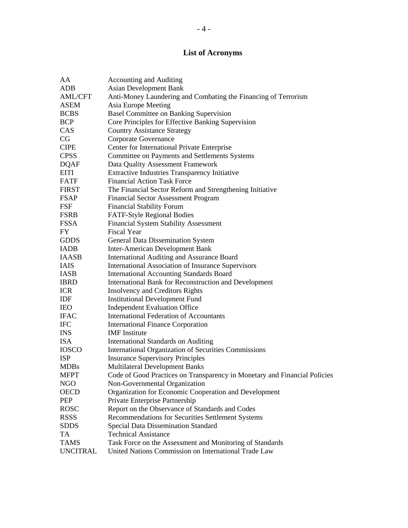# **List of Acronyms**

| AA              | <b>Accounting and Auditing</b>                                            |
|-----------------|---------------------------------------------------------------------------|
| ADB             | <b>Asian Development Bank</b>                                             |
| <b>AML/CFT</b>  | Anti-Money Laundering and Combating the Financing of Terrorism            |
| <b>ASEM</b>     | Asia Europe Meeting                                                       |
| <b>BCBS</b>     | Basel Committee on Banking Supervision                                    |
| <b>BCP</b>      | Core Principles for Effective Banking Supervision                         |
| CAS             | <b>Country Assistance Strategy</b>                                        |
| CG              | Corporate Governance                                                      |
| <b>CIPE</b>     | Center for International Private Enterprise                               |
| <b>CPSS</b>     | Committee on Payments and Settlements Systems                             |
| <b>DQAF</b>     | Data Quality Assessment Framework                                         |
| <b>EITI</b>     | <b>Extractive Industries Transparency Initiative</b>                      |
| FATF            | <b>Financial Action Task Force</b>                                        |
| <b>FIRST</b>    | The Financial Sector Reform and Strengthening Initiative                  |
| <b>FSAP</b>     | <b>Financial Sector Assessment Program</b>                                |
| <b>FSF</b>      | <b>Financial Stability Forum</b>                                          |
| <b>FSRB</b>     | FATF-Style Regional Bodies                                                |
| <b>FSSA</b>     | <b>Financial System Stability Assessment</b>                              |
| FY              | <b>Fiscal Year</b>                                                        |
| <b>GDDS</b>     | General Data Dissemination System                                         |
| <b>IADB</b>     | <b>Inter-American Development Bank</b>                                    |
| <b>IAASB</b>    | International Auditing and Assurance Board                                |
| <b>IAIS</b>     | <b>International Association of Insurance Supervisors</b>                 |
| <b>IASB</b>     | <b>International Accounting Standards Board</b>                           |
| <b>IBRD</b>     | International Bank for Reconstruction and Development                     |
| <b>ICR</b>      | <b>Insolvency and Creditors Rights</b>                                    |
| IDF             | <b>Institutional Development Fund</b>                                     |
| <b>IEO</b>      | <b>Independent Evaluation Office</b>                                      |
| <b>IFAC</b>     | <b>International Federation of Accountants</b>                            |
| <b>IFC</b>      | <b>International Finance Corporation</b>                                  |
| <b>INS</b>      | <b>IMF</b> Institute                                                      |
| <b>ISA</b>      | <b>International Standards on Auditing</b>                                |
| <b>IOSCO</b>    | <b>International Organization of Securities Commissions</b>               |
| <b>ISP</b>      | <b>Insurance Supervisory Principles</b>                                   |
| <b>MDBs</b>     | <b>Multilateral Development Banks</b>                                     |
| <b>MFPT</b>     | Code of Good Practices on Transparency in Monetary and Financial Policies |
| <b>NGO</b>      | Non-Governmental Organization                                             |
| <b>OECD</b>     | Organization for Economic Cooperation and Development                     |
| PEP             | Private Enterprise Partnership                                            |
| <b>ROSC</b>     | Report on the Observance of Standards and Codes                           |
| <b>RSSS</b>     | Recommendations for Securities Settlement Systems                         |
| <b>SDDS</b>     | Special Data Dissemination Standard                                       |
| TA              | <b>Technical Assistance</b>                                               |
| <b>TAMS</b>     | Task Force on the Assessment and Monitoring of Standards                  |
| <b>UNCITRAL</b> | United Nations Commission on International Trade Law                      |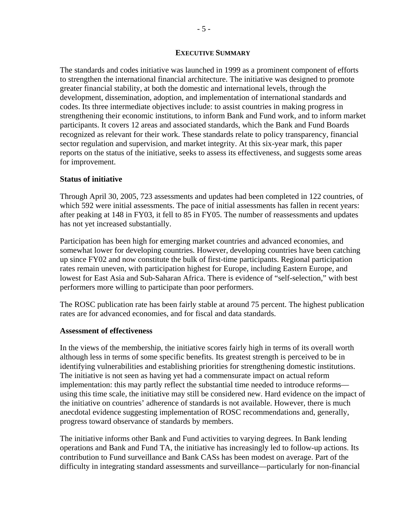#### **EXECUTIVE SUMMARY**

The standards and codes initiative was launched in 1999 as a prominent component of efforts to strengthen the international financial architecture. The initiative was designed to promote greater financial stability, at both the domestic and international levels, through the development, dissemination, adoption, and implementation of international standards and codes. Its three intermediate objectives include: to assist countries in making progress in strengthening their economic institutions, to inform Bank and Fund work, and to inform market participants. It covers 12 areas and associated standards, which the Bank and Fund Boards recognized as relevant for their work. These standards relate to policy transparency, financial sector regulation and supervision, and market integrity. At this six-year mark, this paper reports on the status of the initiative, seeks to assess its effectiveness, and suggests some areas for improvement.

#### **Status of initiative**

Through April 30, 2005, 723 assessments and updates had been completed in 122 countries, of which 592 were initial assessments. The pace of initial assessments has fallen in recent years: after peaking at 148 in FY03, it fell to 85 in FY05. The number of reassessments and updates has not yet increased substantially.

Participation has been high for emerging market countries and advanced economies, and somewhat lower for developing countries. However, developing countries have been catching up since FY02 and now constitute the bulk of first-time participants. Regional participation rates remain uneven, with participation highest for Europe, including Eastern Europe, and lowest for East Asia and Sub-Saharan Africa. There is evidence of "self-selection," with best performers more willing to participate than poor performers.

The ROSC publication rate has been fairly stable at around 75 percent. The highest publication rates are for advanced economies, and for fiscal and data standards.

#### **Assessment of effectiveness**

In the views of the membership, the initiative scores fairly high in terms of its overall worth although less in terms of some specific benefits. Its greatest strength is perceived to be in identifying vulnerabilities and establishing priorities for strengthening domestic institutions. The initiative is not seen as having yet had a commensurate impact on actual reform implementation: this may partly reflect the substantial time needed to introduce reforms using this time scale, the initiative may still be considered new. Hard evidence on the impact of the initiative on countries' adherence of standards is not available. However, there is much anecdotal evidence suggesting implementation of ROSC recommendations and, generally, progress toward observance of standards by members.

The initiative informs other Bank and Fund activities to varying degrees. In Bank lending operations and Bank and Fund TA, the initiative has increasingly led to follow-up actions. Its contribution to Fund surveillance and Bank CASs has been modest on average. Part of the difficulty in integrating standard assessments and surveillance—particularly for non-financial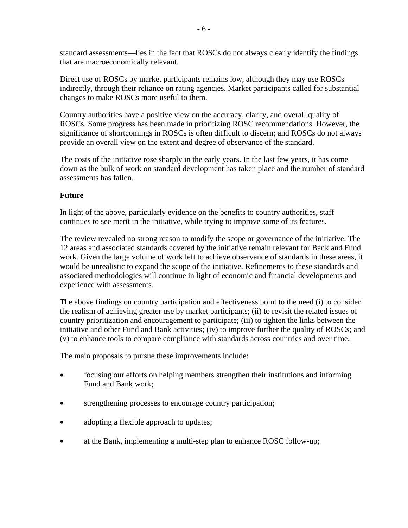standard assessments—lies in the fact that ROSCs do not always clearly identify the findings that are macroeconomically relevant.

Direct use of ROSCs by market participants remains low, although they may use ROSCs indirectly, through their reliance on rating agencies. Market participants called for substantial changes to make ROSCs more useful to them.

Country authorities have a positive view on the accuracy, clarity, and overall quality of ROSCs. Some progress has been made in prioritizing ROSC recommendations. However, the significance of shortcomings in ROSCs is often difficult to discern; and ROSCs do not always provide an overall view on the extent and degree of observance of the standard.

The costs of the initiative rose sharply in the early years. In the last few years, it has come down as the bulk of work on standard development has taken place and the number of standard assessments has fallen.

# **Future**

In light of the above, particularly evidence on the benefits to country authorities, staff continues to see merit in the initiative, while trying to improve some of its features.

The review revealed no strong reason to modify the scope or governance of the initiative. The 12 areas and associated standards covered by the initiative remain relevant for Bank and Fund work. Given the large volume of work left to achieve observance of standards in these areas, it would be unrealistic to expand the scope of the initiative. Refinements to these standards and associated methodologies will continue in light of economic and financial developments and experience with assessments.

The above findings on country participation and effectiveness point to the need (i) to consider the realism of achieving greater use by market participants; (ii) to revisit the related issues of country prioritization and encouragement to participate; (iii) to tighten the links between the initiative and other Fund and Bank activities; (iv) to improve further the quality of ROSCs; and (v) to enhance tools to compare compliance with standards across countries and over time.

The main proposals to pursue these improvements include:

- focusing our efforts on helping members strengthen their institutions and informing Fund and Bank work;
- strengthening processes to encourage country participation;
- adopting a flexible approach to updates;
- at the Bank, implementing a multi-step plan to enhance ROSC follow-up;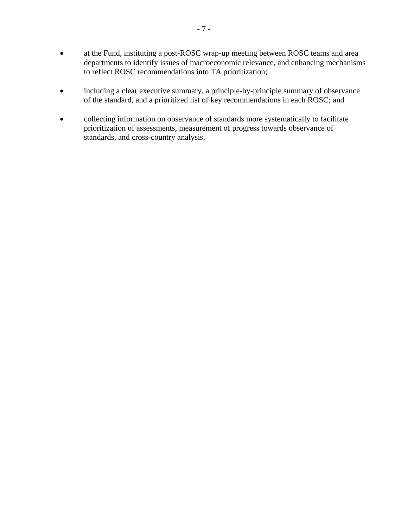- at the Fund, instituting a post-ROSC wrap-up meeting between ROSC teams and area departments to identify issues of macroeconomic relevance, and enhancing mechanisms to reflect ROSC recommendations into TA prioritization;
- including a clear executive summary, a principle-by-principle summary of observance of the standard, and a prioritized list of key recommendations in each ROSC; and
- collecting information on observance of standards more systematically to facilitate prioritization of assessments, measurement of progress towards observance of standards, and cross-country analysis.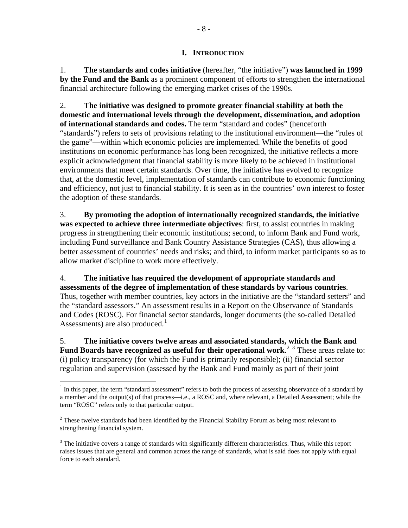#### **I. INTRODUCTION**

<span id="page-7-0"></span>1. **The standards and codes initiative** (hereafter, "the initiative") **was launched in 1999 by the Fund and the Bank** as a prominent component of efforts to strengthen the international financial architecture following the emerging market crises of the 1990s.

2. **The initiative was designed to promote greater financial stability at both the domestic and international levels through the development, dissemination, and adoption of international standards and codes.** The term "standard and codes" (henceforth "standards") refers to sets of provisions relating to the institutional environment—the "rules of the game"—within which economic policies are implemented. While the benefits of good institutions on economic performance has long been recognized, the initiative reflects a more explicit acknowledgment that financial stability is more likely to be achieved in institutional environments that meet certain standards. Over time, the initiative has evolved to recognize that, at the domestic level, implementation of standards can contribute to economic functioning and efficiency, not just to financial stability. It is seen as in the countries' own interest to foster the adoption of these standards.

3. **By promoting the adoption of internationally recognized standards, the initiative was expected to achieve three intermediate objectives**: first, to assist countries in making progress in strengthening their economic institutions; second, to inform Bank and Fund work, including Fund surveillance and Bank Country Assistance Strategies (CAS), thus allowing a better assessment of countries' needs and risks; and third, to inform market participants so as to allow market discipline to work more effectively.

4. **The initiative has required the development of appropriate standards and assessments of the degree of implementation of these standards by various countries**. Thus, together with member countries, key actors in the initiative are the "standard setters" and the "standard assessors." An assessment results in a Report on the Observance of Standards and Codes (ROSC). For financial sector standards, longer documents (the so-called Detailed Assessments) are also produced.<sup>[1](#page-7-1)</sup>

5. **The initiative covers twelve areas and associated standards, which the Bank and Fund Boards have recognized as useful for their operational work.<sup>[2](#page-7-2)[3](#page-7-3)</sup> These areas relate to:** (i) policy transparency (for which the Fund is primarily responsible); (ii) financial sector regulation and supervision (assessed by the Bank and Fund mainly as part of their joint

<span id="page-7-1"></span> $\overline{a}$  $<sup>1</sup>$  In this paper, the term "standard assessment" refers to both the process of assessing observance of a standard by</sup> a member and the output(s) of that process—i.e., a ROSC and, where relevant, a Detailed Assessment; while the term "ROSC" refers only to that particular output.

<span id="page-7-2"></span> $2^2$  These twelve standards had been identified by the Financial Stability Forum as being most relevant to strengthening financial system.

<span id="page-7-3"></span> $3$  The initiative covers a range of standards with significantly different characteristics. Thus, while this report raises issues that are general and common across the range of standards, what is said does not apply with equal force to each standard.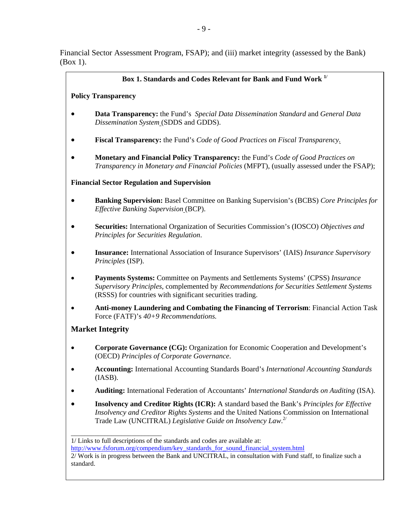Financial Sector Assessment Program, FSAP); and (iii) market integrity (assessed by the Bank) (Box 1).

#### **Box 1. Standards and Codes Relevant for Bank and Fund Work 1/**

#### **Policy Transparency**

- **Data Transparency:** the Fund's *Special Data Dissemination Standard* and *General Data Dissemination System* (SDDS and GDDS).
- **Fiscal Transparency:** the Fund's *Code of Good Practices on Fiscal Transparency.*
- **Monetary and Financial Policy Transparency:** the Fund's *Code of Good Practices on Transparency in Monetary and Financial Policies* (MFPT), (usually assessed under the FSAP);

#### **Financial Sector Regulation and Supervision**

- **Banking Supervision:** Basel Committee on Banking Supervision's (BCBS) *Core Principles for Effective Banking Supervision* (BCP).
- **Securities:** International Organization of Securities Commission's (IOSCO) *Objectives and Principles for Securities Regulation*.
- **Insurance:** International Association of Insurance Supervisors' (IAIS) *Insurance Supervisory Principles* (ISP).
- **Payments Systems:** Committee on Payments and Settlements Systems' (CPSS) *Insurance Supervisory Principles*, complemented by *Recommendations for Securities Settlement Systems* (RSSS) for countries with significant securities trading.
- **Anti-money Laundering and Combating the Financing of Terrorism**: Financial Action Task Force (FATF)'s *40+9 Recommendations.*

# **Market Integrity**

\_\_\_\_\_\_\_\_\_\_\_\_\_\_\_\_\_\_\_\_\_\_\_\_\_\_\_

- **Corporate Governance (CG):** Organization for Economic Cooperation and Development's (OECD) *Principles of Corporate Governance*.
- **Accounting:** International Accounting Standards Board's *International Accounting Standards* (IASB).
- **Auditing:** International Federation of Accountants' *International Standards on Auditing* (ISA).
- **Insolvency and Creditor Rights (ICR):** A standard based the Bank's *Principles for Effective Insolvency and Creditor Rights Systems* and the United Nations Commission on International Trade Law (UNCITRAL) *Legislative Guide on Insolvency Law*. 2/

<sup>1/</sup> Links to full descriptions of the standards and codes are available at:

[http://www.fsforum.org/compendium/key\\_standards\\_for\\_sound\\_financial\\_system.html](http://www.fsforum.org/compendium/key_standards_for_sound_financial_system.html)

<sup>2/</sup> Work is in progress between the Bank and UNCITRAL, in consultation with Fund staff, to finalize such a standard.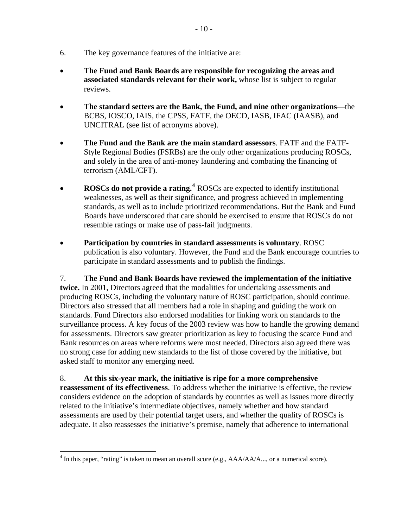- 6. The key governance features of the initiative are:
- **The Fund and Bank Boards are responsible for recognizing the areas and associated standards relevant for their work,** whose list is subject to regular reviews.
- **The standard setters are the Bank, the Fund, and nine other organizations**—the BCBS, IOSCO, IAIS, the CPSS, FATF, the OECD, IASB, IFAC (IAASB), and UNCITRAL (see list of acronyms above).
- **The Fund and the Bank are the main standard assessors**. FATF and the FATF-Style Regional Bodies (FSRBs) are the only other organizations producing ROSCs, and solely in the area of anti-money laundering and combating the financing of terrorism (AML/CFT).
- **ROSCs do not provide a rating.**<sup>[4](#page-9-0)</sup> ROSCs are expected to identify institutional weaknesses, as well as their significance, and progress achieved in implementing standards, as well as to include prioritized recommendations. But the Bank and Fund Boards have underscored that care should be exercised to ensure that ROSCs do not resemble ratings or make use of pass-fail judgments.
- **Participation by countries in standard assessments is voluntary**. ROSC publication is also voluntary. However, the Fund and the Bank encourage countries to participate in standard assessments and to publish the findings.

7. **The Fund and Bank Boards have reviewed the implementation of the initiative twice.** In 2001, Directors agreed that the modalities for undertaking assessments and producing ROSCs, including the voluntary nature of ROSC participation, should continue. Directors also stressed that all members had a role in shaping and guiding the work on standards. Fund Directors also endorsed modalities for linking work on standards to the surveillance process. A key focus of the 2003 review was how to handle the growing demand for assessments. Directors saw greater prioritization as key to focusing the scarce Fund and Bank resources on areas where reforms were most needed. Directors also agreed there was no strong case for adding new standards to the list of those covered by the initiative, but asked staff to monitor any emerging need.

8. **At this six-year mark, the initiative is ripe for a more comprehensive reassessment of its effectiveness**. To address whether the initiative is effective, the review considers evidence on the adoption of standards by countries as well as issues more directly related to the initiative's intermediate objectives, namely whether and how standard assessments are used by their potential target users, and whether the quality of ROSCs is adequate. It also reassesses the initiative's premise, namely that adherence to international

 $\overline{a}$ 

<span id="page-9-0"></span> $4$  In this paper, "rating" is taken to mean an overall score (e.g.,  $AAA/AA/$ ,.., or a numerical score).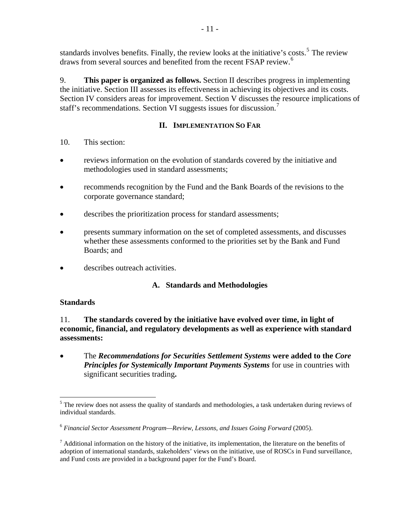<span id="page-10-0"></span>standards involves benefits. Finally, the review looks at the initiative's costs.<sup>[5](#page-10-0)</sup> The review draws from several sources and benefited from the recent FSAP review.<sup>[6](#page-10-0)</sup>

9. **This paper is organized as follows.** Section II describes progress in implementing the initiative. Section III assesses its effectiveness in achieving its objectives and its costs. Section IV considers areas for improvement. Section V discusses the resource implications of staff's recommendations. Section VI suggests issues for discussion.<sup>[7](#page-10-0)</sup>

# **II. IMPLEMENTATION SO FAR**

- 10. This section:
- reviews information on the evolution of standards covered by the initiative and methodologies used in standard assessments;
- recommends recognition by the Fund and the Bank Boards of the revisions to the corporate governance standard;
- describes the prioritization process for standard assessments;
- presents summary information on the set of completed assessments, and discusses whether these assessments conformed to the priorities set by the Bank and Fund Boards; and
- describes outreach activities.

# **A. Standards and Methodologies**

# **Standards**

11. **The standards covered by the initiative have evolved over time, in light of economic, financial, and regulatory developments as well as experience with standard assessments:** 

• The *Recommendations for Securities Settlement Systems* **were added to the** *Core*  **Principles for Systemically Important Payments Systems** for use in countries with significant securities trading**.** 

 $\overline{a}$ <sup>5</sup> The review does not assess the quality of standards and methodologies, a task undertaken during reviews of individual standards.

<sup>6</sup> *Financial Sector Assessment Program—Review, Lessons, and Issues Going Forward* (2005).

 $<sup>7</sup>$  Additional information on the history of the initiative, its implementation, the literature on the benefits of</sup> adoption of international standards, stakeholders' views on the initiative, use of ROSCs in Fund surveillance, and Fund costs are provided in a background paper for the Fund's Board.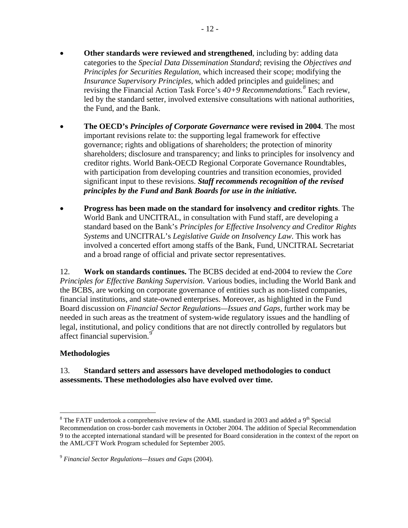- <span id="page-11-0"></span>• **Other standards were reviewed and strengthened**, including by: adding data categories to the *Special Data Dissemination Standard*; revising the *Objectives and Principles for Securities Regulation*, which increased their scope; modifying the *Insurance Supervisory Principles*, which added principles and guidelines; and revising the Financial Action Task Force's *40+9 Recommendations.[8](#page-11-0)* Each review, led by the standard setter, involved extensive consultations with national authorities, the Fund, and the Bank.
- **The OECD's** *Principles of Corporate Governance* **were revised in 2004**. The most important revisions relate to: the supporting legal framework for effective governance; rights and obligations of shareholders; the protection of minority shareholders; disclosure and transparency; and links to principles for insolvency and creditor rights. World Bank-OECD Regional Corporate Governance Roundtables, with participation from developing countries and transition economies, provided significant input to these revisions. *Staff recommends recognition of the revised principles by the Fund and Bank Boards for use in the initiative.*
- **Progress has been made on the standard for insolvency and creditor rights**. The World Bank and UNCITRAL, in consultation with Fund staff, are developing a standard based on the Bank's *Principles for Effective Insolvency and Creditor Rights Systems* and UNCITRAL's *Legislative Guide on Insolvency Law*. This work has involved a concerted effort among staffs of the Bank, Fund, UNCITRAL Secretariat and a broad range of official and private sector representatives.

12. **Work on standards continues.** The BCBS decided at end-2004 to review the *Core Principles for Effective Banking Supervision*. Various bodies, including the World Bank and the BCBS, are working on corporate governance of entities such as non-listed companies, financial institutions, and state-owned enterprises. Moreover, as highlighted in the Fund Board discussion on *Financial Sector Regulations—Issues and Gaps*, further work may be needed in such areas as the treatment of system-wide regulatory issues and the handling of legal, institutional, and policy conditions that are not directly controlled by regulators but affect financial supervision.<sup>[9](#page-11-0)</sup>

# **Methodologies**

# 13. **Standard setters and assessors have developed methodologies to conduct assessments. These methodologies also have evolved over time.**

 $\overline{a}$ <sup>8</sup> The FATF undertook a comprehensive review of the AML standard in 2003 and added a 9<sup>th</sup> Special Recommendation on cross-border cash movements in October 2004. The addition of Special Recommendation 9 to the accepted international standard will be presented for Board consideration in the context of the report on the AML/CFT Work Program scheduled for September 2005.

<sup>9</sup> *Financial Sector Regulations—Issues and Gaps* (2004).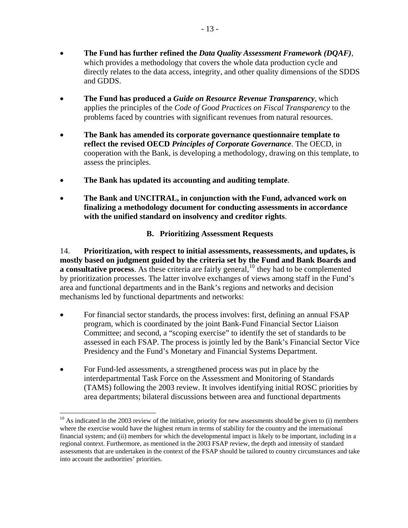- <span id="page-12-0"></span>• **The Fund has produced a** *Guide on Resource Revenue Transparency*, which applies the principles of the *Code of Good Practices on Fiscal Transparency* to the problems faced by countries with significant revenues from natural resources.
- **The Bank has amended its corporate governance questionnaire template to reflect the revised OECD** *Principles of Corporate Governance*. The OECD, in cooperation with the Bank, is developing a methodology, drawing on this template, to assess the principles.
- **The Bank has updated its accounting and auditing template**.
- **The Bank and UNCITRAL, in conjunction with the Fund, advanced work on finalizing a methodology document for conducting assessments in accordance with the unified standard on insolvency and creditor rights**.

# **B. Prioritizing Assessment Requests**

14. **Prioritization, with respect to initial assessments, reassessments, and updates, is mostly based on judgment guided by the criteria set by the Fund and Bank Boards and a consultative process**. As these criteria are fairly general,<sup>[10](#page-12-0)</sup> they had to be complemented by prioritization processes. The latter involve exchanges of views among staff in the Fund's area and functional departments and in the Bank's regions and networks and decision mechanisms led by functional departments and networks:

- For financial sector standards, the process involves: first, defining an annual FSAP program, which is coordinated by the joint Bank-Fund Financial Sector Liaison Committee; and second, a "scoping exercise" to identify the set of standards to be assessed in each FSAP. The process is jointly led by the Bank's Financial Sector Vice Presidency and the Fund's Monetary and Financial Systems Department.
- For Fund-led assessments, a strengthened process was put in place by the interdepartmental Task Force on the Assessment and Monitoring of Standards (TAMS) following the 2003 review. It involves identifying initial ROSC priorities by area departments; bilateral discussions between area and functional departments

 $\overline{a}$ 

 $10$  As indicated in the 2003 review of the initiative, priority for new assessments should be given to (i) members where the exercise would have the highest return in terms of stability for the country and the international financial system; and (ii) members for which the developmental impact is likely to be important, including in a regional context. Furthermore, as mentioned in the 2003 FSAP review, the depth and intensity of standard assessments that are undertaken in the context of the FSAP should be tailored to country circumstances and take into account the authorities' priorities.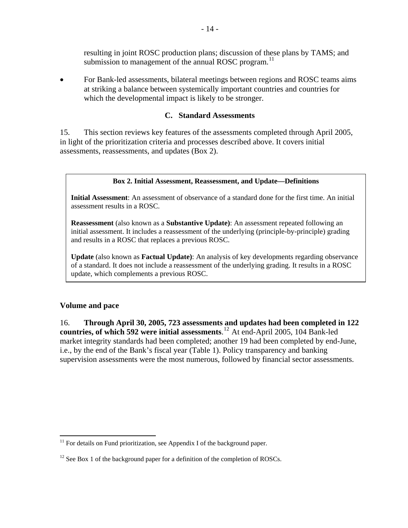resulting in joint ROSC production plans; discussion of these plans by TAMS; and submission to management of the annual ROSC program.<sup>[11](#page-13-0)</sup>

<span id="page-13-0"></span>• For Bank-led assessments, bilateral meetings between regions and ROSC teams aims at striking a balance between systemically important countries and countries for which the developmental impact is likely to be stronger.

#### **C. Standard Assessments**

15. This section reviews key features of the assessments completed through April 2005, in light of the prioritization criteria and processes described above. It covers initial assessments, reassessments, and updates (Box 2).

#### **Box 2. Initial Assessment, Reassessment, and Update—Definitions**

**Initial Assessment**: An assessment of observance of a standard done for the first time. An initial assessment results in a ROSC.

**Reassessment** (also known as a **Substantive Update)**: An assessment repeated following an initial assessment. It includes a reassessment of the underlying (principle-by-principle) grading and results in a ROSC that replaces a previous ROSC.

**Update** (also known as **Factual Update)**: An analysis of key developments regarding observance of a standard. It does not include a reassessment of the underlying grading. It results in a ROSC update, which complements a previous ROSC.

#### **Volume and pace**

16. **Through April 30, 2005, 723 assessments and updates had been completed in 122 countries, of which 592 were initial assessments**. [12](#page-13-0) At end-April 2005, 104 Bank-led market integrity standards had been completed; another 19 had been completed by end-June, i.e., by the end of the Bank's fiscal year (Table 1). Policy transparency and banking supervision assessments were the most numerous, followed by financial sector assessments.

 $\overline{a}$  $11$  For details on Fund prioritization, see Appendix I of the background paper.

 $12$  See Box 1 of the background paper for a definition of the completion of ROSCs.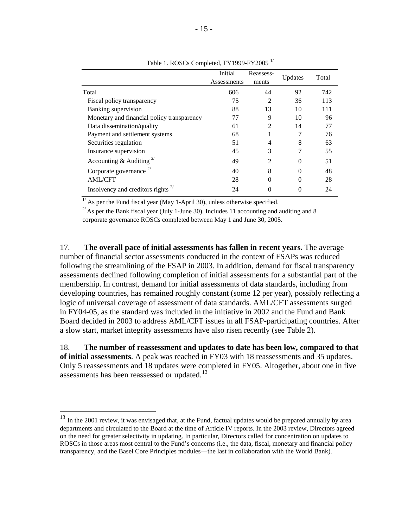<span id="page-14-0"></span>

|                                            | Initial<br>Assessments | Reassess-<br>ments | Updates | Total |
|--------------------------------------------|------------------------|--------------------|---------|-------|
| Total                                      | 606                    | 44                 | 92      | 742   |
| Fiscal policy transparency                 | 75                     | 2                  | 36      | 113   |
| Banking supervision                        | 88                     | 13                 | 10      | 111   |
| Monetary and financial policy transparency | 77                     | 9                  | 10      | 96    |
| Data dissemination/quality                 | 61                     | 2                  | 14      | 77    |
| Payment and settlement systems             | 68                     |                    |         | 76    |
| Securities regulation                      | 51                     | 4                  | 8       | 63    |
| Insurance supervision                      | 45                     | 3                  |         | 55    |
| Accounting & Auditing <sup>2/</sup>        | 49                     | 2                  | 0       | 51    |
| Corporate governance $2^{7}$               | 40                     | 8                  | 0       | 48    |
| <b>AML/CFT</b>                             | 28                     | 0                  | 0       | 28    |
| Insolvency and creditors rights            | 24                     |                    | 0       | 24    |

Table 1. ROSCs Completed, FY1999-FY2005<sup>1/</sup>

 $\frac{1}{1}$  As per the Fund fiscal year (May 1-April 30), unless otherwise specified.

 $^{27}$  As per the Bank fiscal year (July 1-June 30). Includes 11 accounting and auditing and 8 corporate governance ROSCs completed between May 1 and June 30, 2005.

17. **The overall pace of initial assessments has fallen in recent years.** The average number of financial sector assessments conducted in the context of FSAPs was reduced following the streamlining of the FSAP in 2003. In addition, demand for fiscal transparency assessments declined following completion of initial assessments for a substantial part of the membership. In contrast, demand for initial assessments of data standards, including from developing countries, has remained roughly constant (some 12 per year), possibly reflecting a logic of universal coverage of assessment of data standards. AML/CFT assessments surged in FY04-05, as the standard was included in the initiative in 2002 and the Fund and Bank Board decided in 2003 to address AML/CFT issues in all FSAP-participating countries. After a slow start, market integrity assessments have also risen recently (see Table 2).

18. **The number of reassessment and updates to date has been low, compared to that of initial assessments**. A peak was reached in FY03 with 18 reassessments and 35 updates. Only 5 reassessments and 18 updates were completed in FY05. Altogether, about one in five assessments has been reassessed or updated.<sup>[13](#page-14-0)</sup>

 $\overline{a}$ 

 $13$  In the 2001 review, it was envisaged that, at the Fund, factual updates would be prepared annually by area departments and circulated to the Board at the time of Article IV reports. In the 2003 review, Directors agreed on the need for greater selectivity in updating. In particular, Directors called for concentration on updates to ROSCs in those areas most central to the Fund's concerns (i.e., the data, fiscal, monetary and financial policy transparency, and the Basel Core Principles modules—the last in collaboration with the World Bank).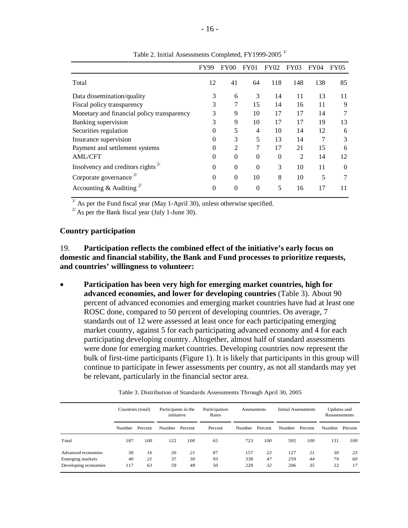<span id="page-15-0"></span>

|                                            | FY99     | FY00           | <b>FY01</b> | FY02     | FY03 | FY <sub>04</sub> | FY05     |
|--------------------------------------------|----------|----------------|-------------|----------|------|------------------|----------|
| Total                                      | 12       | 41             | 64          | 118      | 148  | 138              | 85       |
| Data dissemination/quality                 | 3        | 6              | 3           | 14       | 11   | 13               | 11       |
| Fiscal policy transparency                 | 3        | 7              | 15          | 14       | 16   | 11               | 9        |
| Monetary and financial policy transparency | 3        | 9              | 10          | 17       | 17   | 14               |          |
| Banking supervision                        | 3        | 9              | 10          | 17       | 17   | 19               | 13       |
| Securities regulation                      | $\Omega$ | 5              | 4           | 10       | 14   | 12               | 6        |
| Insurance supervision                      | $\Omega$ | 3              | 5           | 13       | 14   |                  | 3        |
| Payment and settlement systems             | $\Omega$ | $\mathfrak{D}$ | 7           | 17       | 21   | 15               | 6        |
| <b>AML/CFT</b>                             | $\theta$ | $\theta$       | $\theta$    | $\theta$ | 2    | 14               | 12       |
| Insolvency and creditors rights            | $\Omega$ | $\Omega$       | $\theta$    | 3        | 10   | 11               | $\Omega$ |
| Corporate governance                       | $\Omega$ | $\Omega$       | 10          | 8        | 10   | 5                | 7        |
| Accounting & Auditing                      | $\Omega$ | $\Omega$       | $\theta$    | 5        | 16   | 17               | 11       |

Table 2. Initial Assessments Completed, FY1999-2005<sup>1</sup>

 $\frac{1}{1}$  As per the Fund fiscal year (May 1-April 30), unless otherwise specified.

 $^{27}$  As per the Bank fiscal year (July 1-June 30).

#### **Country participation**

19. **Participation reflects the combined effect of the initiative's early focus on domestic and financial stability, the Bank and Fund processes to prioritize requests, and countries' willingness to volunteer:** 

• **Participation has been very high for emerging market countries, high for advanced economies, and lower for developing countries** (Table 3). About 90 percent of advanced economies and emerging market countries have had at least one ROSC done, compared to 50 percent of developing countries. On average, 7 standards out of 12 were assessed at least once for each participating emerging market country, against 5 for each participating advanced economy and 4 for each participating developing country. Altogether, almost half of standard assessments were done for emerging market countries. Developing countries now represent the bulk of first-time participants (Figure 1). It is likely that participants in this group will continue to participate in fewer assessments per country, as not all standards may yet be relevant, particularly in the financial sector area.

|                         | Countries (total) |         | Participants in the<br>initiative |     | Participation<br>Rates | Assessments |         |                |     | Initial Assessments |     | Updates and<br>Reassessments |  |
|-------------------------|-------------------|---------|-----------------------------------|-----|------------------------|-------------|---------|----------------|-----|---------------------|-----|------------------------------|--|
|                         | Number            | Percent | Number Percent                    |     | Percent                | Number      | Percent | Number Percent |     | Number Percent      |     |                              |  |
| Total                   | 187               | 100     | 122                               | 100 | 65                     | 723         | 100     | 592            | 100 | 131                 | 100 |                              |  |
| Advanced economies      | 30                | 16      | 26                                | 21  | 87                     | 157         | 22      | 127            | 21  | 30                  | 23  |                              |  |
| <b>Emerging markets</b> | 40                | 21      | 37                                | 30  | 93                     | 338         | 47      | 259            | 44  | 79                  | 60  |                              |  |
| Developing economies    | 117               | 63      | 59                                | 48  | 50                     | 228         | 32      | 206            | 35  | 22                  | 17  |                              |  |

Table 3. Distribution of Standards Assessments Through April 30, 2005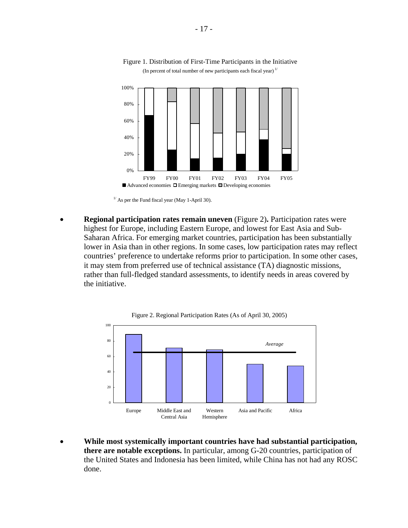

#### Figure 1. Distribution of First-Time Participants in the Initiative (In percent of total number of new participants each fiscal year) $1/$

 $1/$  As per the Fund fiscal year (May 1-April 30).

• **Regional participation rates remain uneven** (Figure 2)**.** Participation rates were highest for Europe, including Eastern Europe, and lowest for East Asia and Sub-Saharan Africa. For emerging market countries, participation has been substantially lower in Asia than in other regions. In some cases, low participation rates may reflect countries' preference to undertake reforms prior to participation. In some other cases, it may stem from preferred use of technical assistance (TA) diagnostic missions, rather than full-fledged standard assessments, to identify needs in areas covered by the initiative.





• **While most systemically important countries have had substantial participation, there are notable exceptions.** In particular, among G-20 countries, participation of the United States and Indonesia has been limited, while China has not had any ROSC done.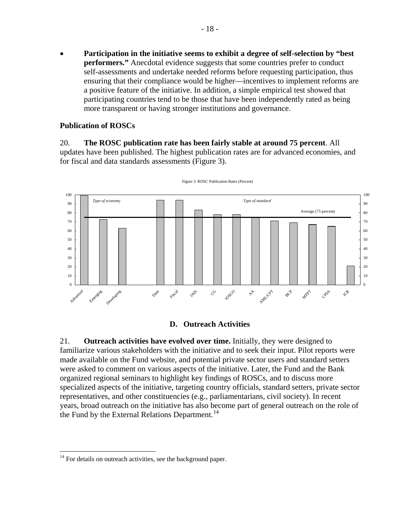<span id="page-17-0"></span>• **Participation in the initiative seems to exhibit a degree of self-selection by "best performers."** Anecdotal evidence suggests that some countries prefer to conduct self-assessments and undertake needed reforms before requesting participation, thus ensuring that their compliance would be higher—incentives to implement reforms are a positive feature of the initiative. In addition, a simple empirical test showed that participating countries tend to be those that have been independently rated as being more transparent or having stronger institutions and governance.

#### **Publication of ROSCs**

20. **The ROSC publication rate has been fairly stable at around 75 percent**. All updates have been published. The highest publication rates are for advanced economies, and for fiscal and data standards assessments (Figure 3).



Figure 3. ROSC Publication Rates (Percent)

#### **D. Outreach Activities**

21. **Outreach activities have evolved over time.** Initially, they were designed to familiarize various stakeholders with the initiative and to seek their input. Pilot reports were made available on the Fund website, and potential private sector users and standard setters were asked to comment on various aspects of the initiative. Later, the Fund and the Bank organized regional seminars to highlight key findings of ROSCs, and to discuss more specialized aspects of the initiative, targeting country officials, standard setters, private sector representatives, and other constituencies (e.g., parliamentarians, civil society). In recent years, broad outreach on the initiative has also become part of general outreach on the role of the Fund by the External Relations Department.<sup>[14](#page-17-0)</sup>

 $\overline{a}$ 

 $14$  For details on outreach activities, see the background paper.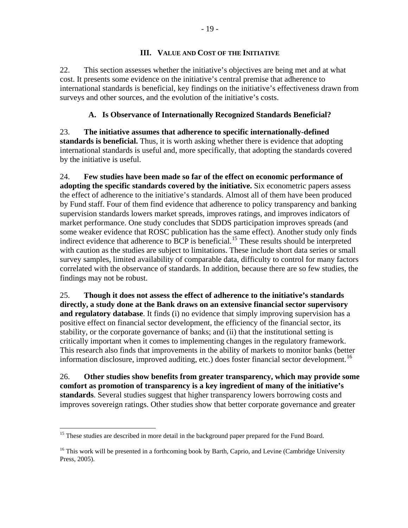#### **III. VALUE AND COST OF THE INITIATIVE**

<span id="page-18-0"></span>22. This section assesses whether the initiative's objectives are being met and at what cost. It presents some evidence on the initiative's central premise that adherence to international standards is beneficial, key findings on the initiative's effectiveness drawn from surveys and other sources, and the evolution of the initiative's costs.

# **A. Is Observance of Internationally Recognized Standards Beneficial?**

23. **The initiative assumes that adherence to specific internationally-defined standards is beneficial.** Thus, it is worth asking whether there is evidence that adopting international standards is useful and, more specifically, that adopting the standards covered by the initiative is useful.

24. **Few studies have been made so far of the effect on economic performance of adopting the specific standards covered by the initiative.** Six econometric papers assess the effect of adherence to the initiative's standards. Almost all of them have been produced by Fund staff. Four of them find evidence that adherence to policy transparency and banking supervision standards lowers market spreads, improves ratings, and improves indicators of market performance. One study concludes that SDDS participation improves spreads (and some weaker evidence that ROSC publication has the same effect). Another study only finds indirect evidence that adherence to BCP is beneficial.<sup>[15](#page-18-0)</sup> These results should be interpreted with caution as the studies are subject to limitations. These include short data series or small survey samples, limited availability of comparable data, difficulty to control for many factors correlated with the observance of standards. In addition, because there are so few studies, the findings may not be robust.

25. **Though it does not assess the effect of adherence to the initiative's standards directly, a study done at the Bank draws on an extensive financial sector supervisory and regulatory database**. It finds (i) no evidence that simply improving supervision has a positive effect on financial sector development, the efficiency of the financial sector, its stability, or the corporate governance of banks; and (ii) that the institutional setting is critically important when it comes to implementing changes in the regulatory framework. This research also finds that improvements in the ability of markets to monitor banks (better information disclosure, improved auditing, etc.) does foster financial sector development.<sup>[16](#page-18-0)</sup>

26. **Other studies show benefits from greater transparency, which may provide some comfort as promotion of transparency is a key ingredient of many of the initiative's standards**. Several studies suggest that higher transparency lowers borrowing costs and improves sovereign ratings. Other studies show that better corporate governance and greater

 $\overline{a}$ 

<sup>&</sup>lt;sup>15</sup> These studies are described in more detail in the background paper prepared for the Fund Board.

<sup>&</sup>lt;sup>16</sup> This work will be presented in a forthcoming book by Barth, Caprio, and Levine (Cambridge University Press, 2005).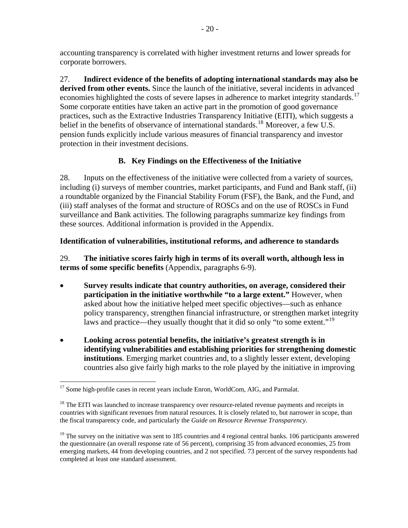<span id="page-19-0"></span>accounting transparency is correlated with higher investment returns and lower spreads for corporate borrowers.

27. **Indirect evidence of the benefits of adopting international standards may also be derived from other events.** Since the launch of the initiative, several incidents in advanced economies highlighted the costs of severe lapses in adherence to market integrity standards.<sup>[17](#page-19-0)</sup> Some corporate entities have taken an active part in the promotion of good governance practices, such as the Extractive Industries Transparency Initiative (EITI), which suggests a belief in the benefits of observance of international standards.<sup>[18](#page-19-0)</sup> Moreover, a few U.S. pension funds explicitly include various measures of financial transparency and investor protection in their investment decisions.

# **B. Key Findings on the Effectiveness of the Initiative**

28. Inputs on the effectiveness of the initiative were collected from a variety of sources, including (i) surveys of member countries, market participants, and Fund and Bank staff, (ii) a roundtable organized by the Financial Stability Forum (FSF), the Bank, and the Fund, and (iii) staff analyses of the format and structure of ROSCs and on the use of ROSCs in Fund surveillance and Bank activities. The following paragraphs summarize key findings from these sources. Additional information is provided in the Appendix.

# **Identification of vulnerabilities, institutional reforms, and adherence to standards**

29. **The initiative scores fairly high in terms of its overall worth, although less in terms of some specific benefits** (Appendix, paragraphs 6-9).

- **Survey results indicate that country authorities, on average, considered their participation in the initiative worthwhile "to a large extent."** However, when asked about how the initiative helped meet specific objectives—such as enhance policy transparency, strengthen financial infrastructure, or strengthen market integrity laws and practice—they usually thought that it did so only "to some extent."<sup>[19](#page-19-0)</sup>
- **Looking across potential benefits, the initiative's greatest strength is in identifying vulnerabilities and establishing priorities for strengthening domestic institutions**. Emerging market countries and, to a slightly lesser extent, developing countries also give fairly high marks to the role played by the initiative in improving

<sup>1</sup> <sup>17</sup> Some high-profile cases in recent years include Enron, WorldCom, AIG, and Parmalat.

<sup>&</sup>lt;sup>18</sup> The EITI was launched to increase transparency over resource-related revenue payments and receipts in countries with significant revenues from natural resources. It is closely related to, but narrower in scope, than the fiscal transparency code, and particularly the *Guide on Resource Revenue Transparency*.

<sup>&</sup>lt;sup>19</sup> The survey on the initiative was sent to 185 countries and 4 regional central banks. 106 participants answered the questionnaire (an overall response rate of 56 percent), comprising 35 from advanced economies, 25 from emerging markets, 44 from developing countries, and 2 not specified. 73 percent of the survey respondents had completed at least one standard assessment.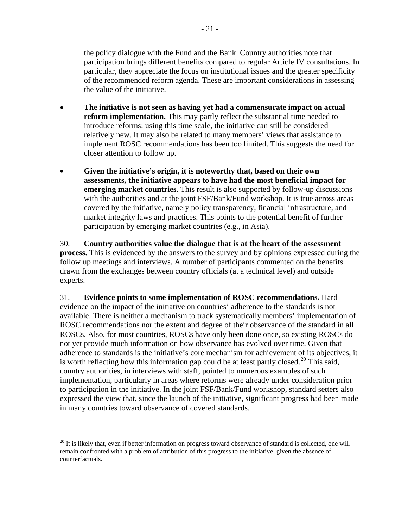<span id="page-20-0"></span>the policy dialogue with the Fund and the Bank. Country authorities note that participation brings different benefits compared to regular Article IV consultations. In particular, they appreciate the focus on institutional issues and the greater specificity of the recommended reform agenda. These are important considerations in assessing the value of the initiative.

- **The initiative is not seen as having yet had a commensurate impact on actual reform implementation.** This may partly reflect the substantial time needed to introduce reforms: using this time scale, the initiative can still be considered relatively new. It may also be related to many members' views that assistance to implement ROSC recommendations has been too limited. This suggests the need for closer attention to follow up.
- **Given the initiative's origin, it is noteworthy that, based on their own assessments, the initiative appears to have had the most beneficial impact for emerging market countries**. This result is also supported by follow-up discussions with the authorities and at the joint FSF/Bank/Fund workshop. It is true across areas covered by the initiative, namely policy transparency, financial infrastructure, and market integrity laws and practices. This points to the potential benefit of further participation by emerging market countries (e.g., in Asia).

30. **Country authorities value the dialogue that is at the heart of the assessment process.** This is evidenced by the answers to the survey and by opinions expressed during the follow up meetings and interviews. A number of participants commented on the benefits drawn from the exchanges between country officials (at a technical level) and outside experts.

31. **Evidence points to some implementation of ROSC recommendations.** Hard evidence on the impact of the initiative on countries' adherence to the standards is not available. There is neither a mechanism to track systematically members' implementation of ROSC recommendations nor the extent and degree of their observance of the standard in all ROSCs. Also, for most countries, ROSCs have only been done once, so existing ROSCs do not yet provide much information on how observance has evolved over time. Given that adherence to standards is the initiative's core mechanism for achievement of its objectives, it is worth reflecting how this information gap could be at least partly closed.<sup>[20](#page-20-0)</sup> This said, country authorities, in interviews with staff, pointed to numerous examples of such implementation, particularly in areas where reforms were already under consideration prior to participation in the initiative. In the joint FSF/Bank/Fund workshop, standard setters also expressed the view that, since the launch of the initiative, significant progress had been made in many countries toward observance of covered standards.

 $\overline{a}$ 

 $20$  It is likely that, even if better information on progress toward observance of standard is collected, one will remain confronted with a problem of attribution of this progress to the initiative, given the absence of counterfactuals.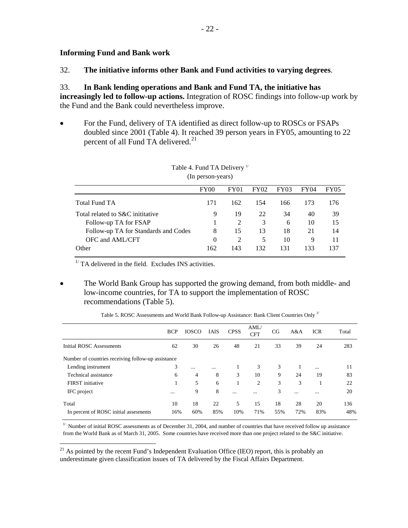<span id="page-21-0"></span>32. **The initiative informs other Bank and Fund activities to varying degrees**.

# 33. **In Bank lending operations and Bank and Fund TA, the initiative has**

**increasingly led to follow-up actions.** Integration of ROSC findings into follow-up work by the Fund and the Bank could nevertheless improve.

• For the Fund, delivery of TA identified as direct follow-up to ROSCs or FSAPs doubled since 2001 (Table 4). It reached 39 person years in FY05, amounting to 22 percent of all Fund TA delivered.<sup>[21](#page-21-0)</sup>

|                                      | $\rm FY00$ | FY01           | FY02 | <b>FY03</b> | <b>FY04</b> | <b>FY05</b> |
|--------------------------------------|------------|----------------|------|-------------|-------------|-------------|
|                                      |            |                |      |             |             |             |
| Total Fund TA                        | 171        | 162            | 154  | 166         | 173         | 176         |
| Total related to S&C inititative     | 9          | 19             | 22   | 34          | 40          | 39          |
| Follow-up TA for FSAP                |            |                | 3    | 6           | 10          | 15          |
| Follow-up TA for Standards and Codes | 8          | 15             | 13   | 18          | 21          | 14          |
| OFC and AML/CFT                      | $\theta$   | $\mathfrak{D}$ | 5    | 10          | 9           | 11          |
| Other                                | 162        | 143            | 132  | 131         | 133         | 137         |

Table 4. Fund TA Delivery<sup>1/</sup> (In person-years)

 $1/$  TA delivered in the field. Excludes INS activities.

1

• The World Bank Group has supported the growing demand, from both middle- and low-income countries, for TA to support the implementation of ROSC recommendations (Table 5).

|                                                    | <b>BCP</b> | <b>IOSCO</b> | <b>IAIS</b> | <b>CPSS</b> | AML/<br><b>CFT</b> | CG  | A&A | <b>ICR</b> | Total |
|----------------------------------------------------|------------|--------------|-------------|-------------|--------------------|-----|-----|------------|-------|
| Initial ROSC Assessments                           | 62         | 30           | 26          | 48          | 21                 | 33  | 39  | 24         | 283   |
| Number of countries receiving follow-up assistance |            |              |             |             |                    |     |     |            |       |
| Lending instrument                                 | 3          | $\cdots$     | $\cdots$    |             | 3                  | 3   | 1   | $\cdots$   | 11    |
| Technical assistance                               | 6          | 4            | 8           | 3           | 10                 | 9   | 24  | 19         | 83    |
| FIRST initiative                                   |            | 5            | 6           |             | 2                  | 3   | 3   |            | 22    |
| IFC project                                        |            | 9            | 8           |             | $\cdots$           | 3   |     | $\cdots$   | 20    |
| Total                                              | 10         | 18           | 22          | 5           | 15                 | 18  | 28  | 20         | 136   |
| In percent of ROSC initial assessments             | 16%        | 60%          | 85%         | 10%         | 71%                | 55% | 72% | 83%        | 48%   |

| Table 5. ROSC Assessments and World Bank Follow-up Assistance: Bank Client Countries Only 1/ |  |  |
|----------------------------------------------------------------------------------------------|--|--|
|                                                                                              |  |  |

 $1/$  Number of initial ROSC assessments as of December 31, 2004, and number of countries that have received follow up assistance from the World Bank as of March 31, 2005. Some countries have received more than one project related to the S&C initiative.

 $21$  As pointed by the recent Fund's Independent Evaluation Office (IEO) report, this is probably an underestimate given classification issues of TA delivered by the Fiscal Affairs Department.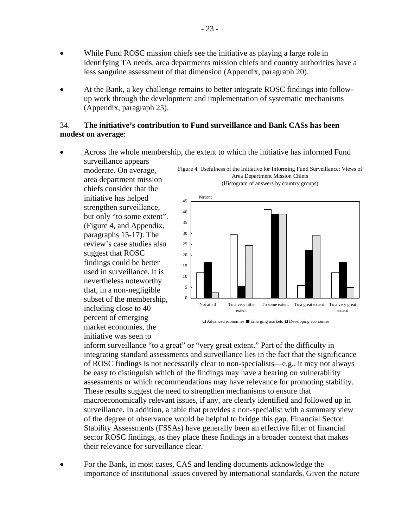- While Fund ROSC mission chiefs see the initiative as playing a large role in identifying TA needs, area departments mission chiefs and country authorities have a less sanguine assessment of that dimension (Appendix, paragraph 20).
- At the Bank, a key challenge remains to better integrate ROSC findings into followup work through the development and implementation of systematic mechanisms (Appendix, paragraph 25).

#### 34. **The initiative's contribution to Fund surveillance and Bank CASs has been modest on average**:

• Across the whole membership, the extent to which the initiative has informed Fund surveillance appears

moderate. On average, area department mission chiefs consider that the initiative has helped strengthen surveillance, but only "to some extent". (Figure 4, and Appendix, paragraphs 15-17). The review's case studies also suggest that ROSC findings could be better used in surveillance. It is nevertheless noteworthy that, in a non-negligible subset of the membership, including close to 40 percent of emerging market economies, the initiative was seen to

Figure 4. Usefulness of the Initiative for Informing Fund Surveillance: Views of Area Department Mission Chiefs (Histogram of answers by country groups)



Advanced economies Emerging markets Developing economies

inform surveillance "to a great" or "very great extent." Part of the difficulty in integrating standard assessments and surveillance lies in the fact that the significance of ROSC findings is not necessarily clear to non-specialists—e.g., it may not always be easy to distinguish which of the findings may have a bearing on vulnerability assessments or which recommendations may have relevance for promoting stability. These results suggest the need to strengthen mechanisms to ensure that macroeconomically relevant issues, if any, are clearly identified and followed up in surveillance. In addition, a table that provides a non-specialist with a summary view of the degree of observance would be helpful to bridge this gap. Financial Sector Stability Assessments (FSSAs) have generally been an effective filter of financial sector ROSC findings, as they place these findings in a broader context that makes their relevance for surveillance clear.

• For the Bank, in most cases, CAS and lending documents acknowledge the importance of institutional issues covered by international standards. Given the nature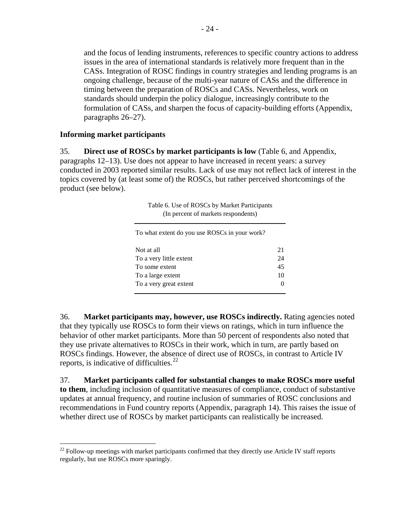<span id="page-23-0"></span>and the focus of lending instruments, references to specific country actions to address issues in the area of international standards is relatively more frequent than in the CASs. Integration of ROSC findings in country strategies and lending programs is an ongoing challenge, because of the multi-year nature of CASs and the difference in timing between the preparation of ROSCs and CASs. Nevertheless, work on standards should underpin the policy dialogue, increasingly contribute to the formulation of CASs, and sharpen the focus of capacity-building efforts (Appendix, paragraphs 26–27).

#### **Informing market participants**

35. **Direct use of ROSCs by market participants is low** (Table 6, and Appendix, paragraphs 12–13). Use does not appear to have increased in recent years: a survey conducted in 2003 reported similar results. Lack of use may not reflect lack of interest in the topics covered by (at least some of) the ROSCs, but rather perceived shortcomings of the product (see below).

> Table 6. Use of ROSCs by Market Participants (In percent of markets respondents)

To what extent do you use ROSCs in your work?

| Not at all              | 21           |
|-------------------------|--------------|
| To a very little extent | 24           |
| To some extent          | 45           |
| To a large extent       | 10           |
| To a very great extent  | $\mathbf{0}$ |
|                         |              |

36. **Market participants may, however, use ROSCs indirectly.** Rating agencies noted that they typically use ROSCs to form their views on ratings, which in turn influence the behavior of other market participants. More than 50 percent of respondents also noted that they use private alternatives to ROSCs in their work, which in turn, are partly based on ROSCs findings. However, the absence of direct use of ROSCs, in contrast to Article IV reports, is indicative of difficulties. $^{22}$  $^{22}$  $^{22}$ 

37. **Market participants called for substantial changes to make ROSCs more useful to them**, including inclusion of quantitative measures of compliance, conduct of substantive updates at annual frequency, and routine inclusion of summaries of ROSC conclusions and recommendations in Fund country reports (Appendix, paragraph 14). This raises the issue of whether direct use of ROSCs by market participants can realistically be increased.

 $\overline{a}$  $^{22}$  Follow-up meetings with market participants confirmed that they directly use Article IV staff reports regularly, but use ROSCs more sparingly.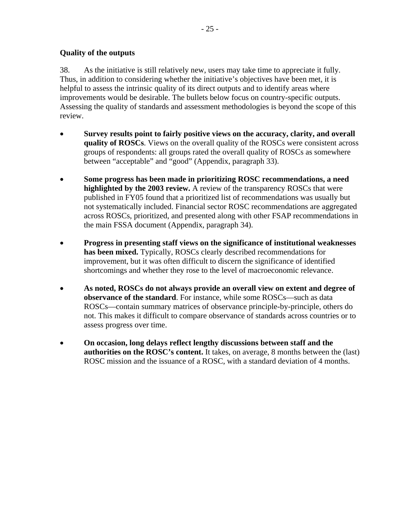# <span id="page-24-0"></span>**Quality of the outputs**

38. As the initiative is still relatively new, users may take time to appreciate it fully. Thus, in addition to considering whether the initiative's objectives have been met, it is helpful to assess the intrinsic quality of its direct outputs and to identify areas where improvements would be desirable. The bullets below focus on country-specific outputs. Assessing the quality of standards and assessment methodologies is beyond the scope of this review.

- **Survey results point to fairly positive views on the accuracy, clarity, and overall quality of ROSCs**. Views on the overall quality of the ROSCs were consistent across groups of respondents: all groups rated the overall quality of ROSCs as somewhere between "acceptable" and "good" (Appendix, paragraph 33).
- **Some progress has been made in prioritizing ROSC recommendations, a need highlighted by the 2003 review.** A review of the transparency ROSCs that were published in FY05 found that a prioritized list of recommendations was usually but not systematically included. Financial sector ROSC recommendations are aggregated across ROSCs, prioritized, and presented along with other FSAP recommendations in the main FSSA document (Appendix, paragraph 34).
- **Progress in presenting staff views on the significance of institutional weaknesses has been mixed.** Typically, ROSCs clearly described recommendations for improvement, but it was often difficult to discern the significance of identified shortcomings and whether they rose to the level of macroeconomic relevance.
- **As noted, ROSCs do not always provide an overall view on extent and degree of observance of the standard**. For instance, while some ROSCs—such as data ROSCs—contain summary matrices of observance principle-by-principle, others do not. This makes it difficult to compare observance of standards across countries or to assess progress over time.
- **On occasion, long delays reflect lengthy discussions between staff and the authorities on the ROSC's content.** It takes, on average, 8 months between the (last) ROSC mission and the issuance of a ROSC, with a standard deviation of 4 months.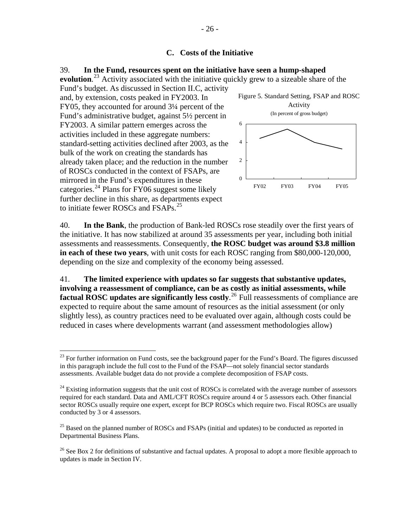# **C. Costs of the Initiative**

# <span id="page-25-0"></span>39. **In the Fund, resources spent on the initiative have seen a hump-shaped**

evolution.<sup>[23](#page-25-0)</sup> Activity associated with the initiative quickly grew to a sizeable share of the Fund's budget. As discussed in Section II.C, activity

and, by extension, costs peaked in FY2003. In FY05, they accounted for around 3¼ percent of the Fund's administrative budget, against 5½ percent in FY2003. A similar pattern emerges across the activities included in these aggregate numbers: standard-setting activities declined after 2003, as the bulk of the work on creating the standards has already taken place; and the reduction in the number of ROSCs conducted in the context of FSAPs, are mirrored in the Fund's expenditures in these categories.<sup>[24](#page-25-0)</sup> Plans for FY06 suggest some likely further decline in this share, as departments expect to initiate fewer ROSCs and FSAPs.<sup>[25](#page-25-0)</sup>

 $\overline{a}$ 



40. **In the Bank**, the production of Bank-led ROSCs rose steadily over the first years of the initiative. It has now stabilized at around 35 assessments per year, including both initial assessments and reassessments. Consequently, **the ROSC budget was around \$3.8 million in each of these two years**, with unit costs for each ROSC ranging from \$80,000-120,000, depending on the size and complexity of the economy being assessed.

41. **The limited experience with updates so far suggests that substantive updates, involving a reassessment of compliance, can be as costly as initial assessments, while**  factual ROSC updates are significantly less costly.<sup>[26](#page-25-0)</sup> Full reassessments of compliance are expected to require about the same amount of resources as the initial assessment (or only slightly less), as country practices need to be evaluated over again, although costs could be reduced in cases where developments warrant (and assessment methodologies allow)

<sup>&</sup>lt;sup>23</sup> For further information on Fund costs, see the background paper for the Fund's Board. The figures discussed in this paragraph include the full cost to the Fund of the FSAP—not solely financial sector standards assessments. Available budget data do not provide a complete decomposition of FSAP costs.

 $^{24}$  Existing information suggests that the unit cost of ROSCs is correlated with the average number of assessors required for each standard. Data and AML/CFT ROSCs require around 4 or 5 assessors each. Other financial sector ROSCs usually require one expert, except for BCP ROSCs which require two. Fiscal ROSCs are usually conducted by 3 or 4 assessors.

 $^{25}$  Based on the planned number of ROSCs and FSAPs (initial and updates) to be conducted as reported in Departmental Business Plans.

<sup>&</sup>lt;sup>26</sup> See Box 2 for definitions of substantive and factual updates. A proposal to adopt a more flexible approach to updates is made in Section IV.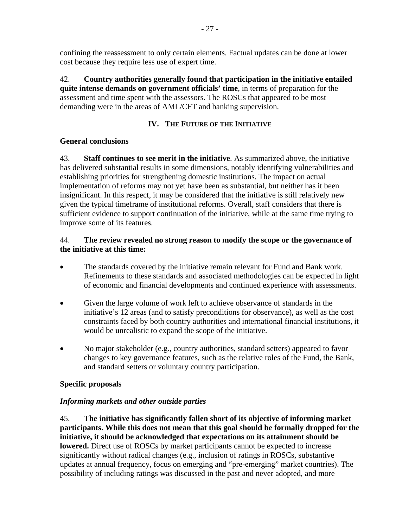<span id="page-26-0"></span>confining the reassessment to only certain elements. Factual updates can be done at lower cost because they require less use of expert time.

42. **Country authorities generally found that participation in the initiative entailed quite intense demands on government officials' time**, in terms of preparation for the assessment and time spent with the assessors. The ROSCs that appeared to be most demanding were in the areas of AML/CFT and banking supervision.

# **IV. THE FUTURE OF THE INITIATIVE**

# **General conclusions**

43. **Staff continues to see merit in the initiative**. As summarized above, the initiative has delivered substantial results in some dimensions, notably identifying vulnerabilities and establishing priorities for strengthening domestic institutions. The impact on actual implementation of reforms may not yet have been as substantial, but neither has it been insignificant. In this respect, it may be considered that the initiative is still relatively new given the typical timeframe of institutional reforms. Overall, staff considers that there is sufficient evidence to support continuation of the initiative, while at the same time trying to improve some of its features.

# 44. **The review revealed no strong reason to modify the scope or the governance of the initiative at this time:**

- The standards covered by the initiative remain relevant for Fund and Bank work. Refinements to these standards and associated methodologies can be expected in light of economic and financial developments and continued experience with assessments.
- Given the large volume of work left to achieve observance of standards in the initiative's 12 areas (and to satisfy preconditions for observance), as well as the cost constraints faced by both country authorities and international financial institutions, it would be unrealistic to expand the scope of the initiative.
- No major stakeholder (e.g., country authorities, standard setters) appeared to favor changes to key governance features, such as the relative roles of the Fund, the Bank, and standard setters or voluntary country participation.

# **Specific proposals**

# *Informing markets and other outside parties*

45. **The initiative has significantly fallen short of its objective of informing market participants. While this does not mean that this goal should be formally dropped for the initiative, it should be acknowledged that expectations on its attainment should be lowered.** Direct use of ROSCs by market participants cannot be expected to increase significantly without radical changes (e.g., inclusion of ratings in ROSCs, substantive updates at annual frequency, focus on emerging and "pre-emerging" market countries). The possibility of including ratings was discussed in the past and never adopted, and more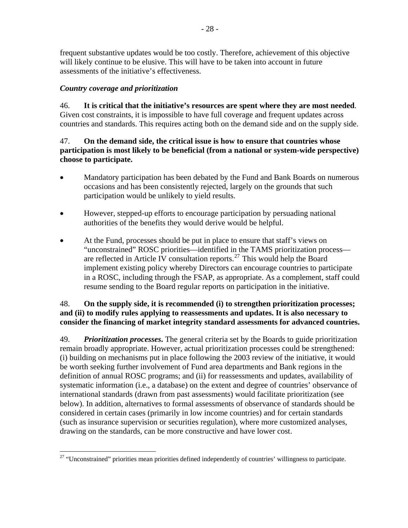<span id="page-27-0"></span>frequent substantive updates would be too costly. Therefore, achievement of this objective will likely continue to be elusive. This will have to be taken into account in future assessments of the initiative's effectiveness.

# *Country coverage and prioritization*

46. **It is critical that the initiative's resources are spent where they are most needed**. Given cost constraints, it is impossible to have full coverage and frequent updates across countries and standards. This requires acting both on the demand side and on the supply side.

# 47. **On the demand side, the critical issue is how to ensure that countries whose participation is most likely to be beneficial (from a national or system-wide perspective) choose to participate.**

- Mandatory participation has been debated by the Fund and Bank Boards on numerous occasions and has been consistently rejected, largely on the grounds that such participation would be unlikely to yield results.
- However, stepped-up efforts to encourage participation by persuading national authorities of the benefits they would derive would be helpful.
- At the Fund, processes should be put in place to ensure that staff's views on "unconstrained" ROSC priorities—identified in the TAMS prioritization process— are reflected in Article IV consultation reports.<sup>[27](#page-27-0)</sup> This would help the Board implement existing policy whereby Directors can encourage countries to participate in a ROSC, including through the FSAP, as appropriate. As a complement, staff could resume sending to the Board regular reports on participation in the initiative.

# 48. **On the supply side, it is recommended (i) to strengthen prioritization processes; and (ii) to modify rules applying to reassessments and updates. It is also necessary to consider the financing of market integrity standard assessments for advanced countries.**

49. *Prioritization processes***.** The general criteria set by the Boards to guide prioritization remain broadly appropriate. However, actual prioritization processes could be strengthened: (i) building on mechanisms put in place following the 2003 review of the initiative, it would be worth seeking further involvement of Fund area departments and Bank regions in the definition of annual ROSC programs; and (ii) for reassessments and updates, availability of systematic information (i.e., a database) on the extent and degree of countries' observance of international standards (drawn from past assessments) would facilitate prioritization (see below). In addition, alternatives to formal assessments of observance of standards should be considered in certain cases (primarily in low income countries) and for certain standards (such as insurance supervision or securities regulation), where more customized analyses, drawing on the standards, can be more constructive and have lower cost.

 $\overline{a}$ <sup>27</sup> "Unconstrained" priorities mean priorities defined independently of countries' willingness to participate.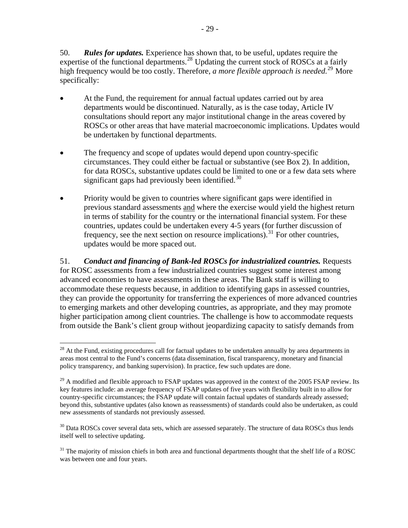<span id="page-28-0"></span>50. *Rules for updates.* Experience has shown that, to be useful, updates require the expertise of the functional departments.<sup>[28](#page-28-0)</sup> Updating the current stock of ROSCs at a fairly high frequency would be too costly. Therefore, *a more flexible approach is needed*.<sup>[29](#page-28-0)</sup> More specifically:

- At the Fund, the requirement for annual factual updates carried out by area departments would be discontinued. Naturally, as is the case today, Article IV consultations should report any major institutional change in the areas covered by ROSCs or other areas that have material macroeconomic implications. Updates would be undertaken by functional departments.
- The frequency and scope of updates would depend upon country-specific circumstances. They could either be factual or substantive (see Box 2). In addition, for data ROSCs, substantive updates could be limited to one or a few data sets where significant gaps had previously been identified.<sup>[30](#page-28-0)</sup>
- Priority would be given to countries where significant gaps were identified in previous standard assessments and where the exercise would yield the highest return in terms of stability for the country or the international financial system. For these countries, updates could be undertaken every 4-5 years (for further discussion of frequency, see the next section on resource implications).<sup>[31](#page-28-0)</sup> For other countries, updates would be more spaced out.

51. *Conduct and financing of Bank-led ROSCs for industrialized countries.* Requests for ROSC assessments from a few industrialized countries suggest some interest among advanced economies to have assessments in these areas. The Bank staff is willing to accommodate these requests because, in addition to identifying gaps in assessed countries, they can provide the opportunity for transferring the experiences of more advanced countries to emerging markets and other developing countries, as appropriate, and they may promote higher participation among client countries. The challenge is how to accommodate requests from outside the Bank's client group without jeopardizing capacity to satisfy demands from

 $\overline{a}$ <sup>28</sup> At the Fund, existing procedures call for factual updates to be undertaken annually by area departments in areas most central to the Fund's concerns (data dissemination, fiscal transparency, monetary and financial policy transparency, and banking supervision). In practice, few such updates are done.

<sup>&</sup>lt;sup>29</sup> A modified and flexible approach to FSAP updates was approved in the context of the 2005 FSAP review. Its key features include: an average frequency of FSAP updates of five years with flexibility built in to allow for country-specific circumstances; the FSAP update will contain factual updates of standards already assessed; beyond this, substantive updates (also known as reassessments) of standards could also be undertaken, as could new assessments of standards not previously assessed.

 $30$  Data ROSCs cover several data sets, which are assessed separately. The structure of data ROSCs thus lends itself well to selective updating.

<sup>&</sup>lt;sup>31</sup> The majority of mission chiefs in both area and functional departments thought that the shelf life of a ROSC was between one and four years.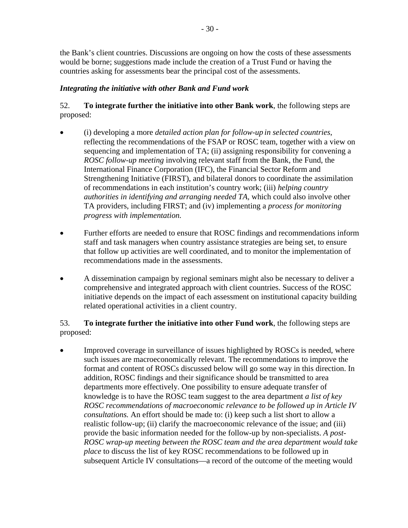the Bank's client countries. Discussions are ongoing on how the costs of these assessments would be borne; suggestions made include the creation of a Trust Fund or having the countries asking for assessments bear the principal cost of the assessments.

# *Integrating the initiative with other Bank and Fund work*

# 52. **To integrate further the initiative into other Bank work**, the following steps are proposed:

- (i) developing a more *detailed action plan for follow-up in selected countries*, reflecting the recommendations of the FSAP or ROSC team, together with a view on sequencing and implementation of TA; (ii) assigning responsibility for convening a *ROSC follow-up meeting* involving relevant staff from the Bank, the Fund, the International Finance Corporation (IFC), the Financial Sector Reform and Strengthening Initiative (FIRST), and bilateral donors to coordinate the assimilation of recommendations in each institution's country work; (iii) *helping country authorities in identifying and arranging needed TA,* which could also involve other TA providers, including FIRST; and (iv) implementing a *process for monitoring progress with implementation.*
- Further efforts are needed to ensure that ROSC findings and recommendations inform staff and task managers when country assistance strategies are being set, to ensure that follow up activities are well coordinated, and to monitor the implementation of recommendations made in the assessments.
- A dissemination campaign by regional seminars might also be necessary to deliver a comprehensive and integrated approach with client countries. Success of the ROSC initiative depends on the impact of each assessment on institutional capacity building related operational activities in a client country.

# 53. **To integrate further the initiative into other Fund work**, the following steps are proposed:

• Improved coverage in surveillance of issues highlighted by ROSCs is needed, where such issues are macroeconomically relevant. The recommendations to improve the format and content of ROSCs discussed below will go some way in this direction. In addition, ROSC findings and their significance should be transmitted to area departments more effectively. One possibility to ensure adequate transfer of knowledge is to have the ROSC team suggest to the area department *a list of key ROSC recommendations of macroeconomic relevance to be followed up in Article IV consultations.* An effort should be made to: (i) keep such a list short to allow a realistic follow-up; (ii) clarify the macroeconomic relevance of the issue; and (iii) provide the basic information needed for the follow-up by non-specialists. *A post-ROSC wrap-up meeting between the ROSC team and the area department would take place* to discuss the list of key ROSC recommendations to be followed up in subsequent Article IV consultations—a record of the outcome of the meeting would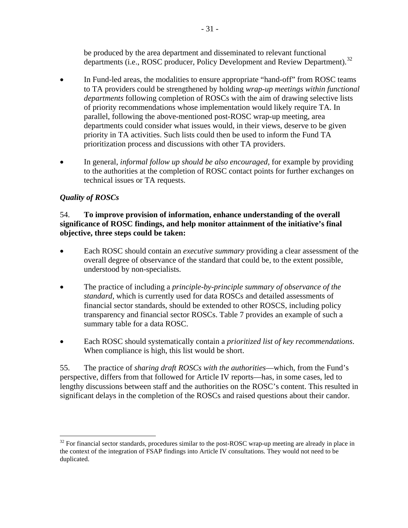be produced by the area department and disseminated to relevant functional departments (i.e., ROSC producer, Policy Development and Review Department).<sup>[32](#page-30-0)</sup>

- <span id="page-30-0"></span>In Fund-led areas, the modalities to ensure appropriate "hand-off" from ROSC teams to TA providers could be strengthened by holding *wrap-up meetings within functional departments* following completion of ROSCs with the aim of drawing selective lists of priority recommendations whose implementation would likely require TA. In parallel, following the above-mentioned post-ROSC wrap-up meeting, area departments could consider what issues would, in their views, deserve to be given priority in TA activities. Such lists could then be used to inform the Fund TA prioritization process and discussions with other TA providers.
- In general, *informal follow up should be also encouraged*, for example by providing to the authorities at the completion of ROSC contact points for further exchanges on technical issues or TA requests.

# *Quality of ROSCs*

<u>.</u>

# 54. **To improve provision of information, enhance understanding of the overall significance of ROSC findings, and help monitor attainment of the initiative's final objective, three steps could be taken:**

- Each ROSC should contain an *executive summary* providing a clear assessment of the overall degree of observance of the standard that could be, to the extent possible, understood by non-specialists.
- The practice of including a *principle-by-principle summary of observance of the standard*, which is currently used for data ROSCs and detailed assessments of financial sector standards, should be extended to other ROSCS, including policy transparency and financial sector ROSCs. Table 7 provides an example of such a summary table for a data ROSC.
- Each ROSC should systematically contain a *prioritized list of key recommendations*. When compliance is high, this list would be short.

55. The practice of *sharing draft ROSCs with the authorities*—which, from the Fund's perspective, differs from that followed for Article IV reports—has, in some cases, led to lengthy discussions between staff and the authorities on the ROSC's content. This resulted in significant delays in the completion of the ROSCs and raised questions about their candor.

 $32$  For financial sector standards, procedures similar to the post-ROSC wrap-up meeting are already in place in the context of the integration of FSAP findings into Article IV consultations. They would not need to be duplicated.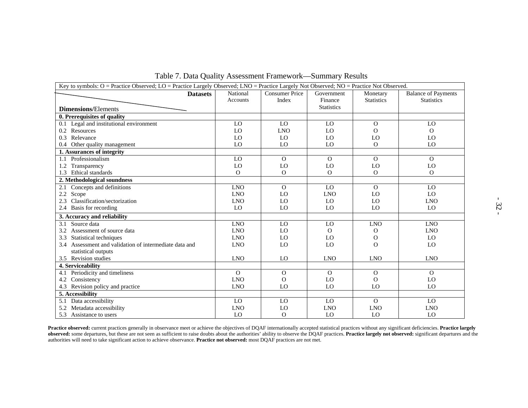| Key to symbols: O = Practice Observed; LO = Practice Largely Observed; LNO = Practice Largely Not Observed; NO = Practice Not Observed.<br><b>Datasets</b> | National        | <b>Consumer Price</b> | Government                   | Monetary          | <b>Balance of Payments</b>  |  |
|------------------------------------------------------------------------------------------------------------------------------------------------------------|-----------------|-----------------------|------------------------------|-------------------|-----------------------------|--|
|                                                                                                                                                            | <b>Accounts</b> | Index                 | Finance<br><b>Statistics</b> | <b>Statistics</b> | <b>Statistics</b>           |  |
| <b>Dimensions/Elements</b>                                                                                                                                 |                 |                       |                              |                   |                             |  |
| 0. Prerequisites of quality                                                                                                                                |                 |                       |                              |                   |                             |  |
| 0.1 Legal and institutional environment                                                                                                                    | LO              | LO                    | LO                           | $\mathbf{O}$      | LO                          |  |
| 0.2 Resources                                                                                                                                              | LO              | <b>LNO</b>            | LO                           | $\Omega$          | $\Omega$                    |  |
| Relevance<br>0.3                                                                                                                                           | LO              | LO                    | LO                           | LO                | LO                          |  |
| 0.4 Other quality management                                                                                                                               | LO              | LO                    | LO                           | $\Omega$          | LO                          |  |
| 1. Assurances of integrity                                                                                                                                 |                 |                       |                              |                   |                             |  |
| 1.1 Professionalism                                                                                                                                        | LO              | $\Omega$              | $\Omega$                     | $\Omega$          | $\Omega$                    |  |
| 1.2 Transparency                                                                                                                                           | LO              | LO                    | LO                           | LO                | ${\rm LO}$                  |  |
| Ethical standards<br>1.3                                                                                                                                   | $\Omega$        | $\mathbf{O}$          | $\overline{O}$               | $\Omega$          | $\Omega$                    |  |
| 2. Methodological soundness                                                                                                                                |                 |                       |                              |                   |                             |  |
| 2.1 Concepts and definitions                                                                                                                               | <b>LNO</b>      | $\mathbf{O}$          | LO                           | $\Omega$          | LO                          |  |
| 2.2 Scope                                                                                                                                                  | <b>LNO</b>      | LO                    | <b>LNO</b>                   | LO                | LO                          |  |
| Classification/sectorization<br>2.3                                                                                                                        | <b>LNO</b>      | LO                    | LO                           | LO                | <b>LNO</b>                  |  |
| 2.4 Basis for recording                                                                                                                                    | LO              | LO                    | LO                           | LO                | LO                          |  |
| 3. Accuracy and reliability                                                                                                                                |                 |                       |                              |                   |                             |  |
| 3.1 Source data                                                                                                                                            | <b>LNO</b>      | LO                    | LO                           | <b>LNO</b>        | <b>LNO</b>                  |  |
| Assessment of source data<br>3.2                                                                                                                           | <b>LNO</b>      | LO                    | $\Omega$                     | O                 | <b>LNO</b>                  |  |
| Statistical techniques<br>3.3                                                                                                                              | <b>LNO</b>      | LO                    | LO                           | $\Omega$          | LO                          |  |
| 3.4 Assessment and validation of intermediate data and<br>statistical outputs                                                                              | <b>LNO</b>      | LO                    | LO                           | $\Omega$          | LO                          |  |
| 3.5 Revision studies                                                                                                                                       | <b>LNO</b>      | LO                    | <b>LNO</b>                   | <b>LNO</b>        | <b>LNO</b>                  |  |
| 4. Serviceability                                                                                                                                          |                 |                       |                              |                   |                             |  |
| Periodicity and timeliness<br>4.1                                                                                                                          | $\Omega$        | $\mathbf{O}$          | $\Omega$                     | $\Omega$          | $\Omega$                    |  |
| 4.2 Consistency                                                                                                                                            | <b>LNO</b>      | $\Omega$              | LO                           | $\Omega$          | LO                          |  |
| 4.3 Revision policy and practice                                                                                                                           | <b>LNO</b>      | LO                    | LO                           | LO                | LO                          |  |
| 5. Accessibility                                                                                                                                           |                 |                       |                              |                   |                             |  |
| 5.1 Data accessibility                                                                                                                                     | LO              | LO                    | LO                           | $\Omega$          | LO                          |  |
| 5.2 Metadata accessibility                                                                                                                                 | <b>LNO</b>      | LO                    | <b>LNO</b>                   | <b>LNO</b>        | $\ensuremath{\mathrm{LNO}}$ |  |
| 5.3 Assistance to users                                                                                                                                    | LO              | $\Omega$              | LO                           | LO                | LO                          |  |

Table 7. Data Quality Assessment Framework—Summary Results

**Practice observed:** current practices generally in observance meet or achieve the objectives of DQAF internationally accepted statistical practices without any significant deficiencies. **Practice largely observed:** some departures, but these are not seen as sufficient to raise doubts about the authorities' ability to observe the DQAF practices. **Practice largely not observed:** significant departures and the authorities will need to take significant action to achieve observance. **Practice not observed:** most DQAF practices are not met.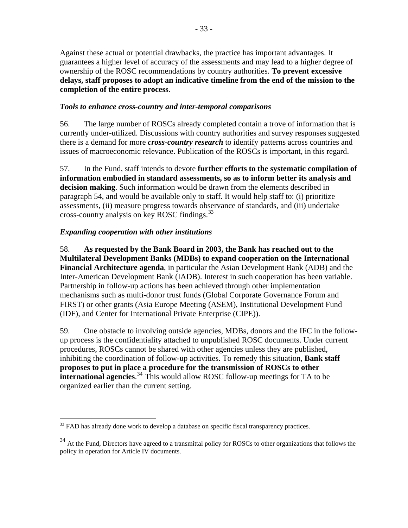<span id="page-32-0"></span>Against these actual or potential drawbacks, the practice has important advantages. It guarantees a higher level of accuracy of the assessments and may lead to a higher degree of ownership of the ROSC recommendations by country authorities. **To prevent excessive delays, staff proposes to adopt an indicative timeline from the end of the mission to the completion of the entire process**.

# *Tools to enhance cross-country and inter-temporal comparisons*

56. The large number of ROSCs already completed contain a trove of information that is currently under-utilized. Discussions with country authorities and survey responses suggested there is a demand for more *cross-country research* to identify patterns across countries and issues of macroeconomic relevance. Publication of the ROSCs is important, in this regard.

57. In the Fund, staff intends to devote **further efforts to the systematic compilation of information embodied in standard assessments, so as to inform better its analysis and decision making**. Such information would be drawn from the elements described in paragraph 54, and would be available only to staff. It would help staff to: (i) prioritize assessments, (ii) measure progress towards observance of standards, and (iii) undertake cross-country analysis on key ROSC findings.[33](#page-32-0)

# *Expanding cooperation with other institutions*

58. **As requested by the Bank Board in 2003, the Bank has reached out to the Multilateral Development Banks (MDBs) to expand cooperation on the International Financial Architecture agenda**, in particular the Asian Development Bank (ADB) and the Inter-American Development Bank (IADB). Interest in such cooperation has been variable. Partnership in follow-up actions has been achieved through other implementation mechanisms such as multi-donor trust funds (Global Corporate Governance Forum and FIRST) or other grants (Asia Europe Meeting (ASEM), Institutional Development Fund (IDF), and Center for International Private Enterprise (CIPE)).

59. One obstacle to involving outside agencies, MDBs, donors and the IFC in the followup process is the confidentiality attached to unpublished ROSC documents. Under current procedures, ROSCs cannot be shared with other agencies unless they are published, inhibiting the coordination of follow-up activities. To remedy this situation, **Bank staff proposes to put in place a procedure for the transmission of ROSCs to other international agencies**. [34](#page-32-0) This would allow ROSC follow-up meetings for TA to be organized earlier than the current setting.

 $\overline{a}$  $33$  FAD has already done work to develop a database on specific fiscal transparency practices.

 $34$  At the Fund, Directors have agreed to a transmittal policy for ROSCs to other organizations that follows the policy in operation for Article IV documents.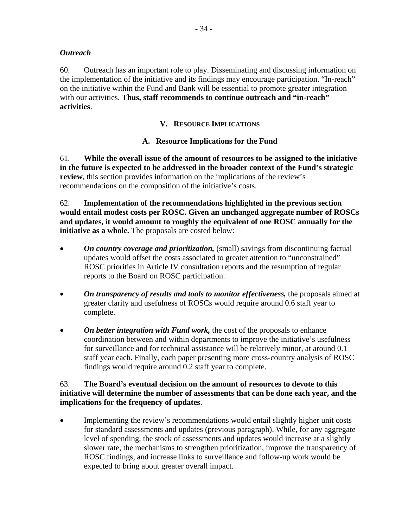#### <span id="page-33-0"></span>*Outreach*

60. Outreach has an important role to play. Disseminating and discussing information on the implementation of the initiative and its findings may encourage participation. "In-reach" on the initiative within the Fund and Bank will be essential to promote greater integration with our activities. **Thus, staff recommends to continue outreach and "in-reach" activities**.

## **V. RESOURCE IMPLICATIONS**

# **A. Resource Implications for the Fund**

61. **While the overall issue of the amount of resources to be assigned to the initiative in the future is expected to be addressed in the broader context of the Fund's strategic review**, this section provides information on the implications of the review's recommendations on the composition of the initiative's costs.

62. **Implementation of the recommendations highlighted in the previous section would entail modest costs per ROSC. Given an unchanged aggregate number of ROSCs and updates, it would amount to roughly the equivalent of one ROSC annually for the initiative as a whole.** The proposals are costed below:

- *On country coverage and prioritization,* (small) savings from discontinuing factual updates would offset the costs associated to greater attention to "unconstrained" ROSC priorities in Article IV consultation reports and the resumption of regular reports to the Board on ROSC participation.
- *On transparency of results and tools to monitor effectiveness, the proposals aimed at* greater clarity and usefulness of ROSCs would require around 0.6 staff year to complete.
- *On better integration with Fund work, the cost of the proposals to enhance* coordination between and within departments to improve the initiative's usefulness for surveillance and for technical assistance will be relatively minor, at around 0.1 staff year each. Finally, each paper presenting more cross-country analysis of ROSC findings would require around 0.2 staff year to complete.

#### 63. **The Board's eventual decision on the amount of resources to devote to this initiative will determine the number of assessments that can be done each year, and the implications for the frequency of updates**.

• Implementing the review's recommendations would entail slightly higher unit costs for standard assessments and updates (previous paragraph). While, for any aggregate level of spending, the stock of assessments and updates would increase at a slightly slower rate, the mechanisms to strengthen prioritization, improve the transparency of ROSC findings, and increase links to surveillance and follow-up work would be expected to bring about greater overall impact.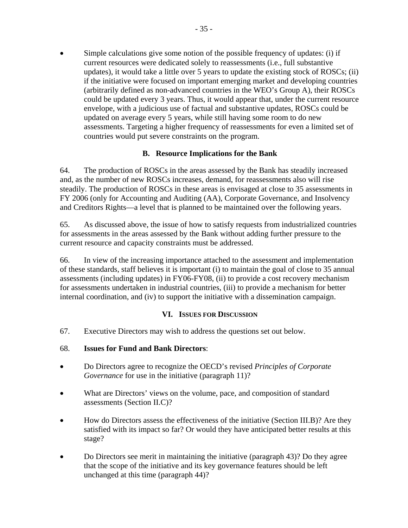<span id="page-34-0"></span>Simple calculations give some notion of the possible frequency of updates: (i) if current resources were dedicated solely to reassessments (i.e., full substantive updates), it would take a little over 5 years to update the existing stock of ROSCs; (ii) if the initiative were focused on important emerging market and developing countries (arbitrarily defined as non-advanced countries in the WEO's Group A), their ROSCs could be updated every 3 years. Thus, it would appear that, under the current resource envelope, with a judicious use of factual and substantive updates, ROSCs could be updated on average every 5 years, while still having some room to do new assessments. Targeting a higher frequency of reassessments for even a limited set of countries would put severe constraints on the program.

# **B. Resource Implications for the Bank**

64. The production of ROSCs in the areas assessed by the Bank has steadily increased and, as the number of new ROSCs increases, demand, for reassessments also will rise steadily. The production of ROSCs in these areas is envisaged at close to 35 assessments in FY 2006 (only for Accounting and Auditing (AA), Corporate Governance, and Insolvency and Creditors Rights—a level that is planned to be maintained over the following years.

65. As discussed above, the issue of how to satisfy requests from industrialized countries for assessments in the areas assessed by the Bank without adding further pressure to the current resource and capacity constraints must be addressed.

66. In view of the increasing importance attached to the assessment and implementation of these standards, staff believes it is important (i) to maintain the goal of close to 35 annual assessments (including updates) in FY06-FY08, (ii) to provide a cost recovery mechanism for assessments undertaken in industrial countries, (iii) to provide a mechanism for better internal coordination, and (iv) to support the initiative with a dissemination campaign.

# **VI. ISSUES FOR DISCUSSION**

67. Executive Directors may wish to address the questions set out below.

# 68. **Issues for Fund and Bank Directors**:

- Do Directors agree to recognize the OECD's revised *Principles of Corporate Governance* for use in the initiative (paragraph 11)?
- What are Directors' views on the volume, pace, and composition of standard assessments (Section II.C)?
- How do Directors assess the effectiveness of the initiative (Section III.B)? Are they satisfied with its impact so far? Or would they have anticipated better results at this stage?
- Do Directors see merit in maintaining the initiative (paragraph 43)? Do they agree that the scope of the initiative and its key governance features should be left unchanged at this time (paragraph 44)?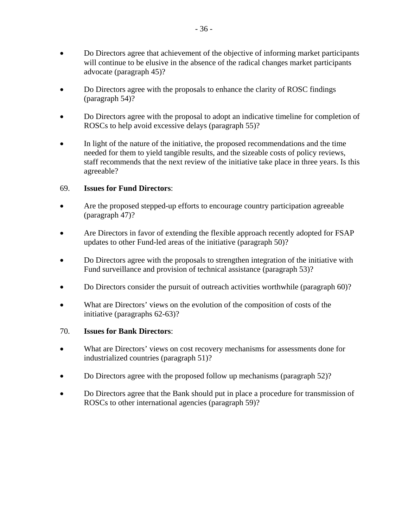- Do Directors agree that achievement of the objective of informing market participants will continue to be elusive in the absence of the radical changes market participants advocate (paragraph 45)?
- Do Directors agree with the proposals to enhance the clarity of ROSC findings (paragraph 54)?
- Do Directors agree with the proposal to adopt an indicative timeline for completion of ROSCs to help avoid excessive delays (paragraph 55)?
- In light of the nature of the initiative, the proposed recommendations and the time needed for them to yield tangible results, and the sizeable costs of policy reviews, staff recommends that the next review of the initiative take place in three years. Is this agreeable?

# 69. **Issues for Fund Directors**:

- Are the proposed stepped-up efforts to encourage country participation agreeable (paragraph 47)?
- Are Directors in favor of extending the flexible approach recently adopted for FSAP updates to other Fund-led areas of the initiative (paragraph 50)?
- Do Directors agree with the proposals to strengthen integration of the initiative with Fund surveillance and provision of technical assistance (paragraph 53)?
- Do Directors consider the pursuit of outreach activities worthwhile (paragraph 60)?
- What are Directors' views on the evolution of the composition of costs of the initiative (paragraphs 62-63)?

#### 70. **Issues for Bank Directors**:

- What are Directors' views on cost recovery mechanisms for assessments done for industrialized countries (paragraph 51)?
- Do Directors agree with the proposed follow up mechanisms (paragraph 52)?
- Do Directors agree that the Bank should put in place a procedure for transmission of ROSCs to other international agencies (paragraph 59)?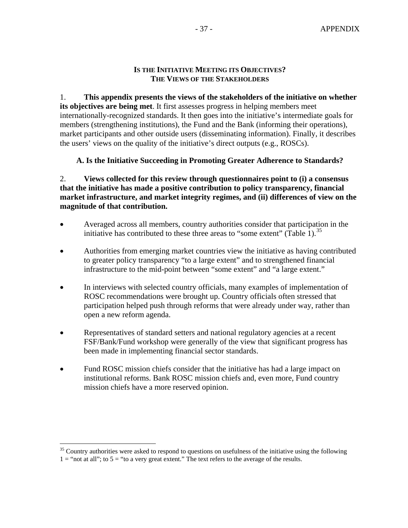#### **IS THE INITIATIVE MEETING ITS OBJECTIVES? THE VIEWS OF THE STAKEHOLDERS**

<span id="page-36-0"></span>1. **This appendix presents the views of the stakeholders of the initiative on whether its objectives are being met**. It first assesses progress in helping members meet internationally-recognized standards. It then goes into the initiative's intermediate goals for members (strengthening institutions), the Fund and the Bank (informing their operations), market participants and other outside users (disseminating information). Finally, it describes the users' views on the quality of the initiative's direct outputs (e.g., ROSCs).

# **A. Is the Initiative Succeeding in Promoting Greater Adherence to Standards?**

2. **Views collected for this review through questionnaires point to (i) a consensus that the initiative has made a positive contribution to policy transparency, financial market infrastructure, and market integrity regimes, and (ii) differences of view on the magnitude of that contribution.** 

- Averaged across all members, country authorities consider that participation in the initiative has contributed to these three areas to "some extent" (Table 1).<sup>[35](#page-36-0)</sup>
- Authorities from emerging market countries view the initiative as having contributed to greater policy transparency "to a large extent" and to strengthened financial infrastructure to the mid-point between "some extent" and "a large extent."
- In interviews with selected country officials, many examples of implementation of ROSC recommendations were brought up. Country officials often stressed that participation helped push through reforms that were already under way, rather than open a new reform agenda.
- Representatives of standard setters and national regulatory agencies at a recent FSF/Bank/Fund workshop were generally of the view that significant progress has been made in implementing financial sector standards.
- Fund ROSC mission chiefs consider that the initiative has had a large impact on institutional reforms. Bank ROSC mission chiefs and, even more, Fund country mission chiefs have a more reserved opinion.

 $\overline{a}$  $35$  Country authorities were asked to respond to questions on usefulness of the initiative using the following  $1 =$  "not at all"; to  $5 =$  "to a very great extent." The text refers to the average of the results.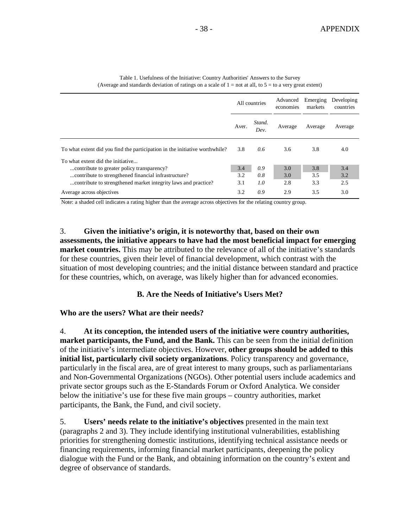|                                                                             | All countries |                | Advanced<br>economies | Emerging<br>markets | Developing<br>countries |
|-----------------------------------------------------------------------------|---------------|----------------|-----------------------|---------------------|-------------------------|
|                                                                             | Aver.         | Stand.<br>Dev. | Average               | Average             | Average                 |
| To what extent did you find the participation in the initiative worthwhile? | 3.8           | 0.6            | 3.6                   | 3.8                 | 4.0                     |
| To what extent did the initiative                                           |               |                |                       |                     |                         |
| contribute to greater policy transparency?                                  | 3.4           | 0.9            | 3.0                   | 3.8                 | 3.4                     |
| contribute to strengthened financial infrastructure?                        | 3.2           | 0.8            | 3.0                   | 3.5                 | 3.2                     |
| contribute to strengthened market integrity laws and practice?              | 3.1           | 1.0            | 2.8                   | 3.3                 | 2.5                     |
| Average across objectives                                                   | 3.2           | 0.9            | 2.9                   | 3.5                 | 3.0                     |

Table 1. Usefulness of the Initiative: Country Authorities' Answers to the Survey (Average and standards deviation of ratings on a scale of  $1 = not$  at all, to  $5 = to$  a very great extent)

Note: a shaded cell indicates a rating higher than the average across objectives for the relating country group.

3. **Given the initiative's origin, it is noteworthy that, based on their own assessments, the initiative appears to have had the most beneficial impact for emerging market countries.** This may be attributed to the relevance of all of the initiative's standards for these countries, given their level of financial development, which contrast with the situation of most developing countries; and the initial distance between standard and practice for these countries, which, on average, was likely higher than for advanced economies.

#### **B. Are the Needs of Initiative's Users Met?**

#### **Who are the users? What are their needs?**

4. **At its conception, the intended users of the initiative were country authorities, market participants, the Fund, and the Bank.** This can be seen from the initial definition of the initiative's intermediate objectives. However, **other groups should be added to this initial list, particularly civil society organizations**. Policy transparency and governance, particularly in the fiscal area, are of great interest to many groups, such as parliamentarians and Non-Governmental Organizations (NGOs). Other potential users include academics and private sector groups such as the E-Standards Forum or Oxford Analytica. We consider below the initiative's use for these five main groups – country authorities, market participants, the Bank, the Fund, and civil society.

5. **Users' needs relate to the initiative's objectives** presented in the main text (paragraphs 2 and 3). They include identifying institutional vulnerabilities, establishing priorities for strengthening domestic institutions, identifying technical assistance needs or financing requirements, informing financial market participants, deepening the policy dialogue with the Fund or the Bank, and obtaining information on the country's extent and degree of observance of standards.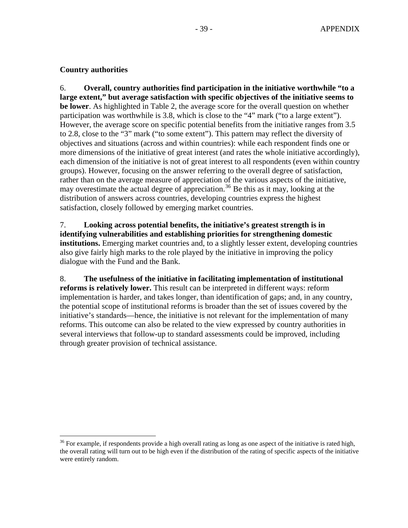## <span id="page-38-0"></span>**Country authorities**

 $\overline{a}$ 

6. **Overall, country authorities find participation in the initiative worthwhile "to a large extent," but average satisfaction with specific objectives of the initiative seems to be lower**. As highlighted in Table 2, the average score for the overall question on whether participation was worthwhile is 3.8, which is close to the "4" mark ("to a large extent"). However, the average score on specific potential benefits from the initiative ranges from 3.5 to 2.8, close to the "3" mark ("to some extent"). This pattern may reflect the diversity of objectives and situations (across and within countries): while each respondent finds one or more dimensions of the initiative of great interest (and rates the whole initiative accordingly), each dimension of the initiative is not of great interest to all respondents (even within country groups). However, focusing on the answer referring to the overall degree of satisfaction, rather than on the average measure of appreciation of the various aspects of the initiative, may overestimate the actual degree of appreciation.<sup>[36](#page-38-0)</sup> Be this as it may, looking at the distribution of answers across countries, developing countries express the highest satisfaction, closely followed by emerging market countries.

7. **Looking across potential benefits, the initiative's greatest strength is in identifying vulnerabilities and establishing priorities for strengthening domestic institutions.** Emerging market countries and, to a slightly lesser extent, developing countries also give fairly high marks to the role played by the initiative in improving the policy dialogue with the Fund and the Bank.

8. **The usefulness of the initiative in facilitating implementation of institutional reforms is relatively lower.** This result can be interpreted in different ways: reform implementation is harder, and takes longer, than identification of gaps; and, in any country, the potential scope of institutional reforms is broader than the set of issues covered by the initiative's standards—hence, the initiative is not relevant for the implementation of many reforms. This outcome can also be related to the view expressed by country authorities in several interviews that follow-up to standard assessments could be improved, including through greater provision of technical assistance.

 $36$  For example, if respondents provide a high overall rating as long as one aspect of the initiative is rated high, the overall rating will turn out to be high even if the distribution of the rating of specific aspects of the initiative were entirely random.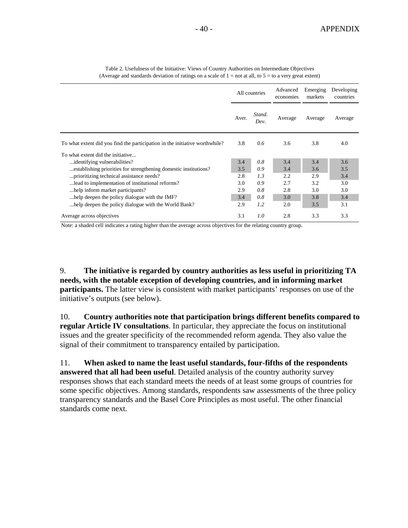|                                                                             | All countries |                | Advanced<br>economies | Emerging<br>markets | Developing<br>countries |  |
|-----------------------------------------------------------------------------|---------------|----------------|-----------------------|---------------------|-------------------------|--|
|                                                                             | Aver.         | Stand.<br>Dev. | Average               | Average             | Average                 |  |
| To what extent did you find the participation in the initiative worthwhile? | 3.8           | 0.6            | 3.6                   | 3.8                 | 4.0                     |  |
| To what extent did the initiative                                           |               |                |                       |                     |                         |  |
| identifying vulnerabilities?                                                | 3.4           | 0.8            | 3.4                   | 3.4                 | 3.6                     |  |
| establishing priorities for strengthening domestic institutions?            | 3.5           | 0.9            | 3.4                   | 3.6                 | 3.5                     |  |
| prioritizing technical assistance needs?                                    | 2.8           | 1.3            | 2.2                   | 2.9                 | 3.4                     |  |
| lead to implementation of institutional reforms?                            | 3.0           | 0.9            | 2.7                   | 3.2                 | 3.0                     |  |
| help inform market participants?                                            | 2.9           | 0.8            | 2.8                   | 3.0                 | 3.0                     |  |
| help deepen the policy dialogue with the IMF?                               | 3.4           | 0.8            | 3.0                   | 3.8                 | 3.4                     |  |
| help deepen the policy dialogue with the World Bank?                        | 2.9           | 1.2            | 2.0                   | 3.5                 | 3.1                     |  |
| Average across objectives                                                   | 3.1           | 1.0            | 2.8                   | 3.3                 | 3.3                     |  |

Table 2. Usefulness of the Initiative: Views of Country Authorities on Intermediate Objectives (Average and standards deviation of ratings on a scale of  $1 =$  not at all, to  $5 =$  to a very great extent)

Note: a shaded cell indicates a rating higher than the average across objectives for the relating country group.

9. **The initiative is regarded by country authorities as less useful in prioritizing TA needs, with the notable exception of developing countries, and in informing market participants.** The latter view is consistent with market participants' responses on use of the initiative's outputs (see below).

10. **Country authorities note that participation brings different benefits compared to regular Article IV consultations**. In particular, they appreciate the focus on institutional issues and the greater specificity of the recommended reform agenda. They also value the signal of their commitment to transparency entailed by participation.

11. **When asked to name the least useful standards, four-fifths of the respondents answered that all had been useful**. Detailed analysis of the country authority survey responses shows that each standard meets the needs of at least some groups of countries for some specific objectives. Among standards, respondents saw assessments of the three policy transparency standards and the Basel Core Principles as most useful. The other financial standards come next.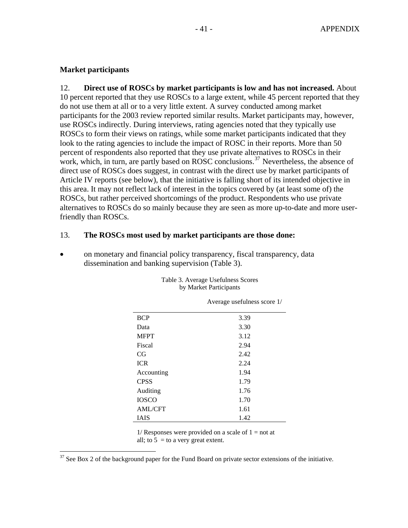#### <span id="page-40-0"></span>**Market participants**

 $\overline{a}$ 

12. **Direct use of ROSCs by market participants is low and has not increased.** About 10 percent reported that they use ROSCs to a large extent, while 45 percent reported that they do not use them at all or to a very little extent. A survey conducted among market participants for the 2003 review reported similar results. Market participants may, however, use ROSCs indirectly. During interviews, rating agencies noted that they typically use ROSCs to form their views on ratings, while some market participants indicated that they look to the rating agencies to include the impact of ROSC in their reports. More than 50 percent of respondents also reported that they use private alternatives to ROSCs in their work, which, in turn, are partly based on ROSC conclusions.<sup>[37](#page-40-0)</sup> Nevertheless, the absence of direct use of ROSCs does suggest, in contrast with the direct use by market participants of Article IV reports (see below), that the initiative is falling short of its intended objective in this area. It may not reflect lack of interest in the topics covered by (at least some of) the ROSCs, but rather perceived shortcomings of the product. Respondents who use private alternatives to ROSCs do so mainly because they are seen as more up-to-date and more userfriendly than ROSCs.

#### 13. **The ROSCs most used by market participants are those done:**

• on monetary and financial policy transparency, fiscal transparency, data dissemination and banking supervision (Table 3).

|                | Average usefulness score 1/ |
|----------------|-----------------------------|
| <b>BCP</b>     | 3.39                        |
| Data           | 3.30                        |
| <b>MFPT</b>    | 3.12                        |
| Fiscal         | 2.94                        |
| CG             | 2.42                        |
| <b>ICR</b>     | 2.24                        |
| Accounting     | 1.94                        |
| <b>CPSS</b>    | 1.79                        |
| Auditing       | 1.76                        |
| <b>IOSCO</b>   | 1.70                        |
| <b>AML/CFT</b> | 1.61                        |
| IAIS           | 1.42                        |

#### Table 3. Average Usefulness Scores by Market Participants

 $1/$  Responses were provided on a scale of  $1 = not$  at all; to  $5 =$  to a very great extent.

 $37$  See Box 2 of the background paper for the Fund Board on private sector extensions of the initiative.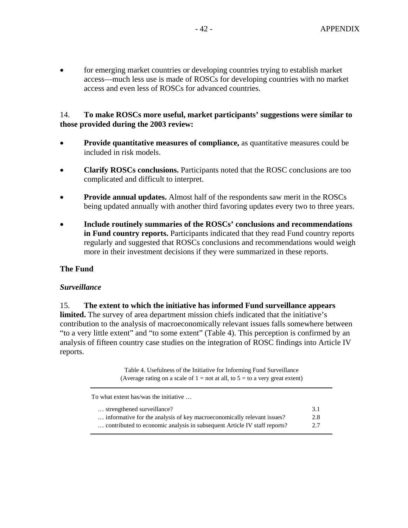• for emerging market countries or developing countries trying to establish market access—much less use is made of ROSCs for developing countries with no market access and even less of ROSCs for advanced countries.

#### 14. **To make ROSCs more useful, market participants' suggestions were similar to those provided during the 2003 review:**

- **Provide quantitative measures of compliance, as quantitative measures could be** included in risk models.
- **Clarify ROSCs conclusions.** Participants noted that the ROSC conclusions are too complicated and difficult to interpret.
- **Provide annual updates.** Almost half of the respondents saw merit in the ROSCs being updated annually with another third favoring updates every two to three years.
- **Include routinely summaries of the ROSCs' conclusions and recommendations in Fund country reports.** Participants indicated that they read Fund country reports regularly and suggested that ROSCs conclusions and recommendations would weigh more in their investment decisions if they were summarized in these reports.

#### **The Fund**

#### *Surveillance*

15. **The extent to which the initiative has informed Fund surveillance appears limited.** The survey of area department mission chiefs indicated that the initiative's contribution to the analysis of macroeconomically relevant issues falls somewhere between "to a very little extent" and "to some extent" (Table 4). This perception is confirmed by an analysis of fifteen country case studies on the integration of ROSC findings into Article IV reports.

> Table 4. Usefulness of the Initiative for Informing Fund Surveillance (Average rating on a scale of  $1 =$  not at all, to  $5 =$  to a very great extent)

| To what extent has/was the initiative                                    |     |
|--------------------------------------------------------------------------|-----|
| strengthened surveillance?                                               | 3.1 |
| informative for the analysis of key macroeconomically relevant issues?   | 2.8 |
| contributed to economic analysis in subsequent Article IV staff reports? | 2.7 |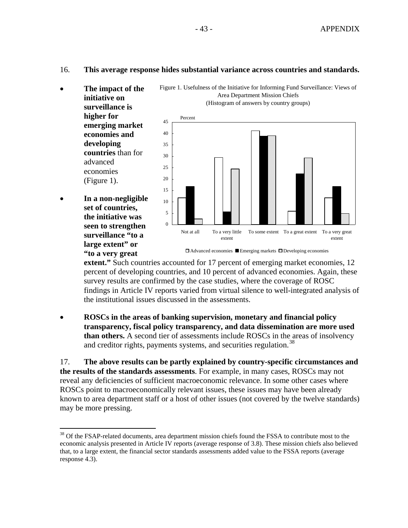#### <span id="page-42-0"></span>16. **This average response hides substantial variance across countries and standards.**

- **The impact of the initiative on surveillance is higher for emerging market economies and developing countries** than for advanced economies (Figure 1).
- **In a non-negligible set of countries, the initiative was seen to strengthen surveillance "to a large extent" or "to a very great**

1





Advanced economies Emerging markets Developing economies

extent." Such countries accounted for 17 percent of emerging market economies, 12 percent of developing countries, and 10 percent of advanced economies. Again, th ese survey results are confirmed by the case studies, where the coverage of ROSC findings in Article IV reports varied from virtual silence to well-integrated analysis of the institutional issues discussed in the assessments.

• **ROSCs in the areas of banking supervision, monetary and financial policy**  transparency, fiscal policy transparency, and data dissemination are more used **than others.** A second tier of assessments include ROSCs in the areas of insolvency and creditor rights, payments systems, and securities regulation.<sup>[38](#page-42-0)</sup>

17. **The above results can be partly explained by country-specific circumstances and**  known to area department staff or a host of other issues (not covered by the twelve standards) **the results of the standards assessments**. For example, in many cases, ROSCs may not reveal any deficiencies of sufficient macroeconomic relevance. In some other cases where ROSCs point to macroeconomically relevant issues, these issues may have been already may be more pressing.

<sup>&</sup>lt;sup>38</sup> Of the FSAP-related documents, area department mission chiefs found the FSSA to contribute most to the economic analysis presented in Article IV reports (average response of 3.8). These mission chiefs also believed that, to a large extent, the financial sector standards assessments added value to the FSSA reports (average response 4.3).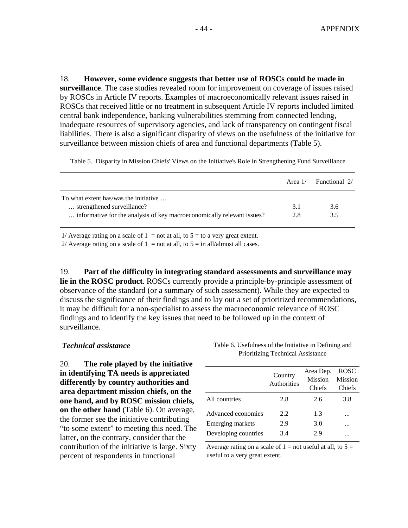18. **However, some evidence suggests that better use of ROSCs could be made in**  surveillance. The case studies revealed room for improvement on coverage of issues raised inadequate resources of supervisory agencies, and lack of transparency on contingent fiscal by ROSCs in Article IV reports. Examples of macroeconomically relevant issues raised in ROSCs that received little or no treatment in subsequent Article IV reports included limited central bank independence, banking vulnerabilities stemming from connected lending, liabilities. There is also a significant disparity of views on the usefulness of the initiative for surveillance between mission chiefs of area and functional departments (Table 5).

Table 5. Disparity in Mission Chiefs' Views on the Initiative's Role in Strengthening Fund Surveillance

|                                                                        | Area 1/ | Functional 2/ |
|------------------------------------------------------------------------|---------|---------------|
| To what extent has/was the initiative                                  |         |               |
| strengthened surveillance?                                             | 3.1     | 3.6           |
| informative for the analysis of key macroeconomically relevant issues? | 2.8     | 3.5           |

1/ Average rating on a scale of  $1 =$  not at all, to  $5 =$  to a very great extent.

2/ Average rating on a scale of  $1 =$  not at all, to  $5 =$  in all/almost all cases.

9. **Part of the difficulty in integrating standard assessments and surveillance may**  discuss the significance of their findings and to lay out a set of prioritized recommendations, 19. **lie in the ROSC product**. ROSCs currently provide a principle-by-principle assessment of observance of the standard (or a summary of such assessment). While they are expected to it may be difficult for a non-specialist to assess the macroeconomic relevance of ROSC findings and to identify the key issues that need to be followed up in the context of surveillance.

#### **Technical** assistance

0. **The role played by the initiative**  "to some extent" to meeting this need. The contribution of the initiative is large. Sixty 20. **in identifying TA needs is appreciated differently by country authorities and area department mission chiefs, on the one hand, and by ROSC mission chiefs, on the other hand** (Table 6). On average, the former see the initiative contributing latter, on the contrary, consider that the percent of respondents in functional

Table 6. Usefulness of the Initiative in Defining and Prioritizing Technical Assistance

|                      | Country<br>Authorities | Area Dep.<br><b>Mission</b><br>Chiefs | ROSC<br>Mission<br>Chiefs |
|----------------------|------------------------|---------------------------------------|---------------------------|
| All countries        | 2.8                    | 2.6                                   | 3.8                       |
| Advanced economies   | 2.2.                   | 1.3                                   |                           |
| Emerging markets     | 2.9                    | 3.0                                   | .                         |
| Developing countries | 3.4                    | 2.9                                   |                           |

Average rating on a scale of  $1 =$  not useful at all, to  $5 =$ useful to a very great extent.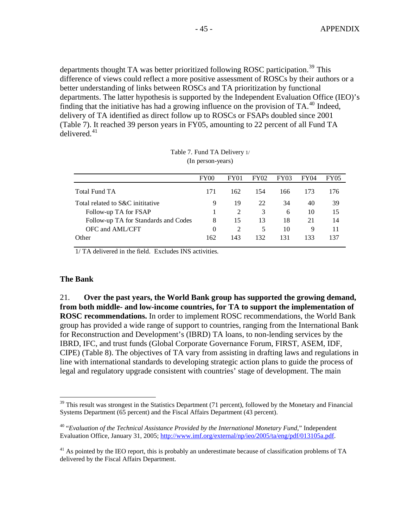<span id="page-44-0"></span>departments thought TA was better prioritized following ROSC participation.<sup>[39](#page-44-0)</sup> This difference of views could reflect a more positive assessment of ROSCs by their authors or a better understanding of links between ROSCs and TA prioritization by functional departments. The latter hypothesis is supported by the Independent Evaluation Office (IEO) 's finding that the initiative has had a growing influence on the provision of TA.<sup>[40](#page-44-0)</sup> Indeed, (Table 7). It reached 39 person years in FY05, amounting to 22 percent of all Fund TA delivered. $41$ delivery of TA identified as direct follow up to ROSCs or FSAPs doubled since 2001

|                                      | FY <sub>00</sub> | FY01           | <b>FY02</b> | <b>FY03</b> | FY04 | <b>FY05</b> |
|--------------------------------------|------------------|----------------|-------------|-------------|------|-------------|
| Total Fund TA                        | 171              | 162            | 154         | 166         | 173  | 176         |
| Total related to S&C inititative     | 9                | 19             | 22          | 34          | 40   | 39          |
| Follow-up TA for FSAP                |                  |                | 3           | 6           | 10   | 15          |
| Follow-up TA for Standards and Codes | 8                | 15             | 13          | 18          | 21   | 14          |
| OFC and AML/CFT                      | 0                | $\mathfrak{D}$ | 5           | 10          | 9    | 11          |
| Other                                | 162              | 143            | 132         | 131         | 133  | 137         |
|                                      |                  |                |             |             |      |             |

| Table 7. Fund TA Delivery 1/ |  |
|------------------------------|--|
| (In person-years)            |  |

1/ TA delivered in the field. Excludes INS activities.

#### **The Bank**

 $\overline{a}$ 

group has provided a wide range of support to countries, ranging from the International Bank line with international standards to developing strategic action plans to guide the process of 21. **Over the past years, the World Bank group has supported the growing demand, from both middle- and low-income countries, for TA to support the implementation of ROSC recommendations.** In order to implement ROSC recommendations, the World Bank for Reconstruction and Development's (IBRD) TA loans, to non-lending services by the IBRD, IFC, and trust funds (Global Corporate Governance Forum, FIRST, ASEM, IDF, CIPE) (Table 8). The objectives of TA vary from assisting in drafting laws and regulations in legal and regulatory upgrade consistent with countries' stage of development. The main

 $39$  This result was strongest in the Statistics Department (71 percent), followed by the Monetary and Financial Systems Department (65 percent) and the Fiscal Affairs Department (43 percent).

<sup>40 &</sup>quot;*Evaluation of the Technical Assistance Provided by the International Monetary Fund*," Independent Evaluation Office, January 31, 2005; [http://www.imf.org/external/np/ieo/2005/ta/eng/pdf/013105a.pdf.](http://www.imf.org/external/np/ieo/2005/ta/eng/pdf/013105a.pdf)

 $41$  As pointed by the IEO report, this is probably an underestimate because of classification problems of TA delivered by the Fiscal Affairs Department.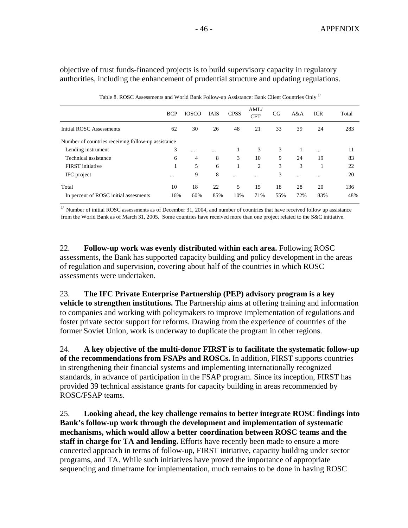objective of trust funds-financed projects is to build supervisory capacity in regulatory authorities, including the enhancement of prudential structure and updating regulations.

|                                                    | <b>BCP</b> | <b>IOSCO</b> | <b>IAIS</b> | <b>CPSS</b> | AML/<br><b>CFT</b> | CG  | A&A      | <b>ICR</b> | Total |
|----------------------------------------------------|------------|--------------|-------------|-------------|--------------------|-----|----------|------------|-------|
| Initial ROSC Assessments                           | 62         | 30           | 26          | 48          | 21                 | 33  | 39       | 24         | 283   |
| Number of countries receiving follow-up assistance |            |              |             |             |                    |     |          |            |       |
| Lending instrument                                 | 3          | $\cdots$     | $\cdots$    | 1           | 3                  | 3   |          | $\cdots$   | 11    |
| Technical assistance                               | 6          | 4            | 8           | 3           | 10                 | 9   | 24       | 19         | 83    |
| FIRST initiative                                   |            | 5            | 6           | 1           | $\overline{2}$     | 3   | 3        |            | 22    |
| IFC project                                        | $\cdots$   | 9            | 8           | $\cdots$    | $\cdots$           | 3   | $\cdots$ | $\cdots$   | 20    |
| Total                                              | 10         | 18           | 22          | 5           | 15                 | 18  | 28       | 20         | 136   |
| In percent of ROSC initial assessments             | 16%        | 60%          | 85%         | 10%         | 71%                | 55% | 72%      | 83%        | 48%   |

Table 8. ROSC Assessments and World Bank Follow-up Assistance: Bank Client Countries Only <sup>1/</sup>

Number of initial ROSC assessments as of December 31, 2004, and number of countries that have received follow up assistance from the World Bank as of March 31, 2005. Some countries have received more than one project related to the S&C initiative.

22. Follow-up work was evenly distributed within each area. Following ROSC assessments, the Bank has supported capacity building and policy development in the areas of regulation and supervision, covering about half of the countries in which ROSC assessments were undertaken.

vehicle to strengthen institutions. The Partnership aims at offering training and information to companies and working with policymakers to improve implementation of regulations and foster private sector support for reforms. Drawing from the experience of countries of the former Soviet Union, work is underway to duplicate the program in other regions. 23. **The IFC Private Enterprise Partnership (PEP) advisory program is a key** 

24. A key objective of the multi-donor FIRST is to facilitate the systematic follow-up standards, in advance of participation in the FSAP program. Since its inception, FIRST has provided 39 technical assistance grants for capacity building in areas recommended by **of the recommendations from FSAPs and ROSCs.** In addition, FIRST supports countries in strengthening their financial systems and implementing internationally recognized ROSC/FSAP teams.

**to**  25. **Looking ahead, the key challenge remains to better integrate ROSC findings in** sequencing and timeframe for implementation, much remains to be done in having ROSC **Bank's follow-up work through the development and implementation of systematic mechanisms, which would allow a better coordination between ROSC teams and the staff in charge for TA and lending.** Efforts have recently been made to ensure a more concerted approach in terms of follow-up, FIRST initiative, capacity building under sector programs, and TA. While such initiatives have proved the importance of appropriate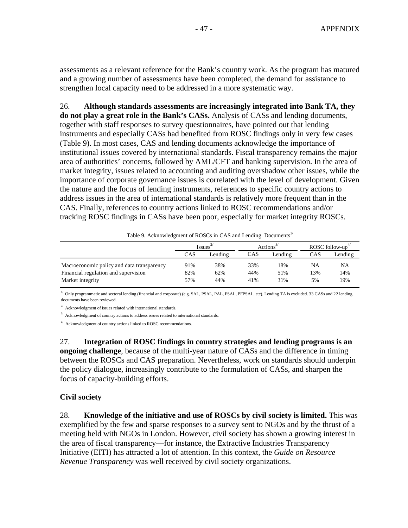assessments as a relevant reference for the Bank's country work. As the program has matured and a growing number of assessments have been completed, the demand fo r assistance to strengthen local capacity need to be addressed in a more systematic way.

**y**  26. **Although standards assessments are increasingly integrated into Bank TA, the** do not play a great role in the Bank's CASs. Analysis of CASs and lending documents, instruments and especially CASs had benefited from ROSC findings only in very few cases importance of corporate governance issues is correlated with the level of development. Given address issues in the area of international standards is relatively more frequent than in the tracking ROSC findings in CASs have been poor, especially for market integrity ROSCs. together with staff responses to survey questionnaires, have pointed out that lending (Table 9). In most cases, CAS and lending documents acknowledge the importance of institutional issues covered by international standards. Fiscal transparency remains the major area of authorities' concerns, followed by AML/CFT and banking supervision. In the area of market integrity, issues related to accounting and auditing overshadow other issues, while the the nature and the focus of lending instruments, references to specific country actions to CAS. Finally, references to country actions linked to ROSC recommendations and/or

|                                            | <i>Issues</i> |         | Actions |         |     | ROSC follow- $up^4$ |
|--------------------------------------------|---------------|---------|---------|---------|-----|---------------------|
|                                            | <b>CAS</b>    | Lending | CAS     | Lending | CAS | Lending             |
| Macroeconomic policy and data transparency | 91%           | 38%     | 33%     | 18%     | NA  | NA                  |
| Financial regulation and supervision       | 82%           | 62%     | 44%     | 51%     | 3%  | 14%                 |
| Market integrity                           | 57%           | 44%     | 41%     | 31%     | 5%  | 19%                 |

Table 9. Acknowledgment of ROSCs in CAS and Lending Documents<sup>1/</sup>

 $1/$  Only programmatic and sectoral lending (financial and corporate) (e.g. SAL, PSAL, PSAL, PFPSAL, etc). Lending TA is excluded. 33 CASs and 22 lending documents have been reviewed.

 $^{2\prime}$  Acknowledgment of issues related with international standards.

 $3/$  Acknowledgment of country actions to address issues related to international standards.

 $4'$  Acknowledgment of country actions linked to ROSC recommendations.

between the ROSCs and CAS preparation. Nevertheless, work on standards should underpin the policy dialogue, increasingly contribute to the formulation of CASs, and sharpen the focus of capacity-building efforts. 27. **Integration of ROSC findings in country strategies and lending programs is an ongoing challenge**, because of the multi-year nature of CASs and the difference in timing

#### **Civil society**

meeting held with NGOs in London. However, civil society has shown a growing interest in Initiative (EITI) has attracted a lot of attention. In this context, the *Guide on Resource* 28. **Knowledge of the initiative and use of ROSCs by civil society is limited.** This was exemplified by the few and sparse responses to a survey sent to NGOs and by the thrust of a the area of fiscal transparency—for instance, the Extractive Industries Transparency *Revenue Transparency* was well received by civil society organizations.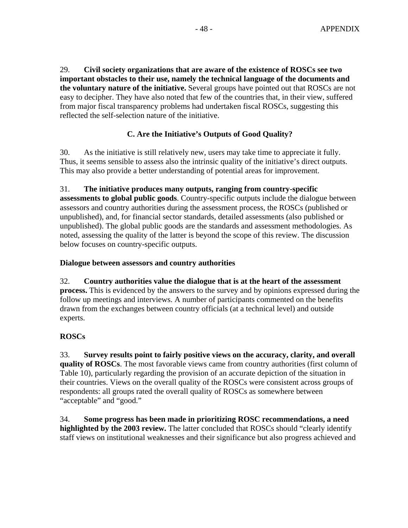29. **Civil society organizations that are aware of the existence of ROSCs see two important obstacles to their use, namely the technical language of the documents and the voluntary nature of the initiative.** Several groups have pointed out that ROSCs are not easy to decipher. They have also noted that few of the countries that, in their view, suffered from major fiscal transparency problems had undertaken fiscal ROSCs, suggesting this reflected the self-sel ection nature of the initiative.

# **C. Are the Initiative's Outputs of Good Quality?**

30. As the initiative is still relatively new, users may take time to appreciate it fully. Thus, it seems sensible to assess also the intrinsic quality of the initiative's direct outputs. This may also provide a better understanding of potential areas for improvement.

assessments to global public goods. Country-specific outputs include the dialogue between unpublished). The global public goods are the standards and assessment methodologies. As noted, assessing the quality of the latter is beyond the scope of this review. The discussion 31. **The initiative produces many outputs, ranging from country-specific**  assessors and country authorities during the assessment process, the ROSCs (published or unpublished), and, for financial sector standards, detailed assessments (also published or below focuses on country-specific outputs.

#### **Dialogue between assessors and country authorities**

process. This is evidenced by the answers to the survey and by opinions expressed during the follow up meetings and interviews. A number of participants commented on the benefits drawn from the exchanges between country officials (at a technical level) and outside 32. **Country authorities value the dialogue that is at the heart of the assessment**  experts.

# **ROSCs**

33. Survey results point to fairly positive views on the accuracy, clarity, and overall Table 10), particularly regarding the provision of an accurate depiction of the situation in their countries. Views on the overall quality of the ROSCs were consistent across groups of respondents: all groups rated the overall quality of ROSCs as somewhere between **quality of ROSCs**. The most favorable views came from country authorities (first column of "acceptable" and "good."

staff views on institutional weaknesses and their significance but also progress achieved and 34. **Some progress has been made in prioritizing ROSC recommendations, a need highlighted by the 2003 review.** The latter concluded that ROSCs should "clearly identify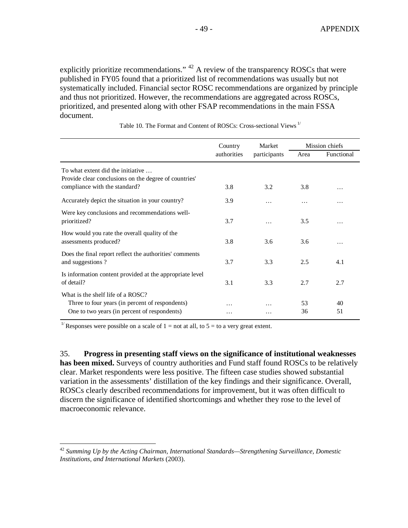<span id="page-48-0"></span>explicitly prioritize recommendations."  $42$  A review of the transparency ROSCs that were published in FY05 found that a prioritized list of recommendations was usually but not systematically included. Financial sector ROSC recommendations are organized by princ iple and thus not prioritized. However, the recommendations are aggregated across ROSCs, prioritized, and presented along with other FSAP recommendations in the main FSSA document.

|                                                                                            | Country     | Market       |      | Mission chiefs |
|--------------------------------------------------------------------------------------------|-------------|--------------|------|----------------|
|                                                                                            | authorities | participants | Area | Functional     |
| To what extent did the initiative<br>Provide clear conclusions on the degree of countries' |             |              |      |                |
| compliance with the standard?                                                              | 3.8         | 3.2          | 3.8  | .              |
| Accurately depict the situation in your country?                                           | 3.9         | $\cdots$     | .    | .              |
| Were key conclusions and recommendations well-<br>prioritized?                             | 3.7         |              | 3.5  | .              |
| How would you rate the overall quality of the<br>assessments produced?                     | 3.8         | 3.6          | 3.6  | .              |
| Does the final report reflect the authorities' comments<br>and suggestions?                | 3.7         | 3.3          | 2.5  | 4.1            |
| Is information content provided at the appropriate level<br>of detail?                     | 3.1         | 3.3          | 2.7  | 2.7            |
| What is the shelf life of a ROSC?<br>Three to four years (in percent of respondents)       | .           |              | 53   | 40             |
| One to two years (in percent of respondents)                                               | .           | .            | 36   | 51             |

Table 10. The Format and Content of ROSCs: Cross-sectional Views 1/

<sup>1/</sup> Responses were possible on a scale of  $1 =$  not at all, to  $5 =$  to a very great extent.

1

has been mixed. Surveys of country authorities and Fund staff found ROSCs to be relatively variation in the assessments' distillation of the key findings and their significance. Overall, discern the significance of identified shortcomings and whether they rose to the level of macroeconomic relevance. 35. **Progress in presenting staff views on the significance of institutional weaknesses**  clear. Market respondents were less positive. The fifteen case studies showed substantial ROSCs clearly described recommendations for improvement, but it was often difficult to

<sup>42</sup> *Summing Up by the Acting Chairman, International Standards—Strengthening Surveillance, Domestic Institutions, and International Markets* (2003).